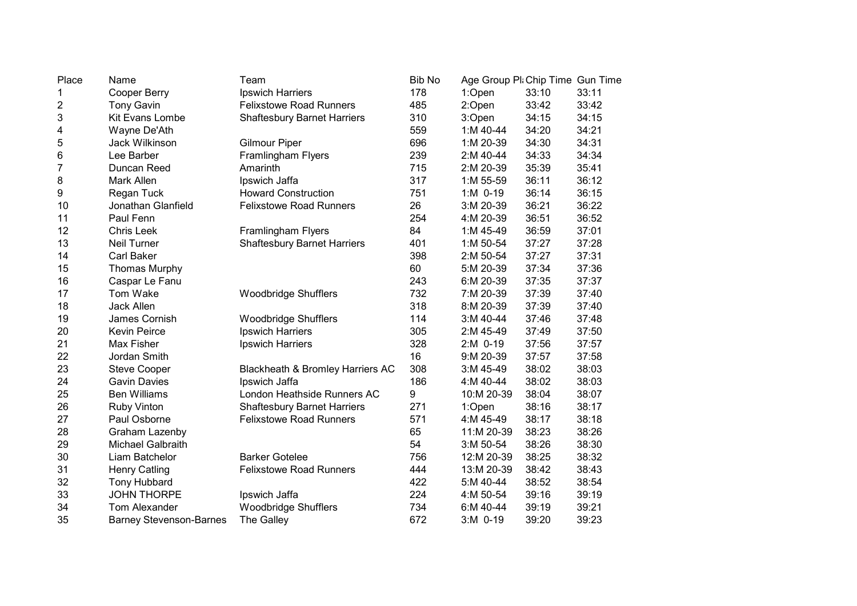| Place | Name                           | Team                               | <b>Bib No</b> | Age Group Pli Chip Time Gun Time |       |       |
|-------|--------------------------------|------------------------------------|---------------|----------------------------------|-------|-------|
| 1     | <b>Cooper Berry</b>            | Ipswich Harriers                   | 178           | 1:Open                           | 33:10 | 33:11 |
| 2     | <b>Tony Gavin</b>              | <b>Felixstowe Road Runners</b>     | 485           | 2:Open                           | 33:42 | 33:42 |
| 3     | Kit Evans Lombe                | <b>Shaftesbury Barnet Harriers</b> | 310           | 3:Open                           | 34:15 | 34:15 |
| 4     | Wayne De'Ath                   |                                    | 559           | 1:M 40-44                        | 34:20 | 34:21 |
| 5     | Jack Wilkinson                 | <b>Gilmour Piper</b>               | 696           | 1:M 20-39                        | 34:30 | 34:31 |
| 6     | Lee Barber                     | Framlingham Flyers                 | 239           | 2:M 40-44                        | 34:33 | 34:34 |
| 7     | Duncan Reed                    | Amarinth                           | 715           | 2:M 20-39                        | 35:39 | 35:41 |
| 8     | Mark Allen                     | Ipswich Jaffa                      | 317           | 1:M 55-59                        | 36:11 | 36:12 |
| 9     | Regan Tuck                     | <b>Howard Construction</b>         | 751           | $1: M$ 0-19                      | 36:14 | 36:15 |
| 10    | Jonathan Glanfield             | <b>Felixstowe Road Runners</b>     | 26            | 3:M 20-39                        | 36:21 | 36:22 |
| 11    | Paul Fenn                      |                                    | 254           | 4:M 20-39                        | 36:51 | 36:52 |
| 12    | <b>Chris Leek</b>              | Framlingham Flyers                 | 84            | 1:M 45-49                        | 36:59 | 37:01 |
| 13    | <b>Neil Turner</b>             | <b>Shaftesbury Barnet Harriers</b> | 401           | 1:M 50-54                        | 37:27 | 37:28 |
| 14    | Carl Baker                     |                                    | 398           | 2:M 50-54                        | 37:27 | 37:31 |
| 15    | <b>Thomas Murphy</b>           |                                    | 60            | 5:M 20-39                        | 37:34 | 37:36 |
| 16    | Caspar Le Fanu                 |                                    | 243           | 6:M 20-39                        | 37:35 | 37:37 |
| 17    | Tom Wake                       | <b>Woodbridge Shufflers</b>        | 732           | 7:M 20-39                        | 37:39 | 37:40 |
| 18    | Jack Allen                     |                                    | 318           | 8:M 20-39                        | 37:39 | 37:40 |
| 19    | James Cornish                  | <b>Woodbridge Shufflers</b>        | 114           | 3:M 40-44                        | 37:46 | 37:48 |
| 20    | <b>Kevin Peirce</b>            | Ipswich Harriers                   | 305           | 2:M 45-49                        | 37:49 | 37:50 |
| 21    | Max Fisher                     | Ipswich Harriers                   | 328           | $2:M$ 0-19                       | 37:56 | 37:57 |
| 22    | Jordan Smith                   |                                    | 16            | 9:M 20-39                        | 37:57 | 37:58 |
| 23    | <b>Steve Cooper</b>            | Blackheath & Bromley Harriers AC   | 308           | 3:M 45-49                        | 38:02 | 38:03 |
| 24    | <b>Gavin Davies</b>            | Ipswich Jaffa                      | 186           | 4:M 40-44                        | 38:02 | 38:03 |
| 25    | <b>Ben Williams</b>            | London Heathside Runners AC        | 9             | 10:M 20-39                       | 38:04 | 38:07 |
| 26    | <b>Ruby Vinton</b>             | <b>Shaftesbury Barnet Harriers</b> | 271           | 1:Open                           | 38:16 | 38:17 |
| 27    | Paul Osborne                   | <b>Felixstowe Road Runners</b>     | 571           | 4:M 45-49                        | 38:17 | 38:18 |
| 28    | Graham Lazenby                 |                                    | 65            | 11:M 20-39                       | 38:23 | 38:26 |
| 29    | <b>Michael Galbraith</b>       |                                    | 54            | 3:M 50-54                        | 38:26 | 38:30 |
| 30    | Liam Batchelor                 | <b>Barker Gotelee</b>              | 756           | 12:M 20-39                       | 38:25 | 38:32 |
| 31    | <b>Henry Catling</b>           | <b>Felixstowe Road Runners</b>     | 444           | 13:M 20-39                       | 38:42 | 38:43 |
| 32    | <b>Tony Hubbard</b>            |                                    | 422           | 5:M 40-44                        | 38:52 | 38:54 |
| 33    | <b>JOHN THORPE</b>             | Ipswich Jaffa                      | 224           | 4:M 50-54                        | 39:16 | 39:19 |
| 34    | Tom Alexander                  | <b>Woodbridge Shufflers</b>        | 734           | 6:M 40-44                        | 39:19 | 39:21 |
| 35    | <b>Barney Stevenson-Barnes</b> | The Galley                         | 672           | 3:M 0-19                         | 39:20 | 39:23 |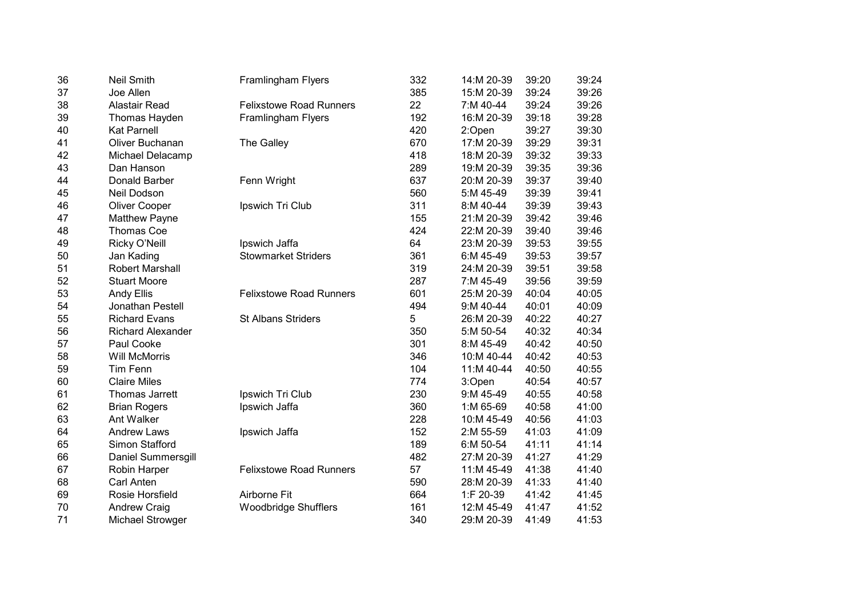| 36 | <b>Neil Smith</b>        | Framlingham Flyers             | 332 | 14:M 20-39 | 39:20 | 39:24 |
|----|--------------------------|--------------------------------|-----|------------|-------|-------|
| 37 | Joe Allen                |                                | 385 | 15:M 20-39 | 39:24 | 39:26 |
| 38 | <b>Alastair Read</b>     | <b>Felixstowe Road Runners</b> | 22  | 7:M 40-44  | 39:24 | 39:26 |
| 39 | Thomas Hayden            | <b>Framlingham Flyers</b>      | 192 | 16:M 20-39 | 39:18 | 39:28 |
| 40 | <b>Kat Parnell</b>       |                                | 420 | 2:Open     | 39:27 | 39:30 |
| 41 | Oliver Buchanan          | The Galley                     | 670 | 17:M 20-39 | 39:29 | 39:31 |
| 42 | Michael Delacamp         |                                | 418 | 18:M 20-39 | 39:32 | 39:33 |
| 43 | Dan Hanson               |                                | 289 | 19:M 20-39 | 39:35 | 39:36 |
| 44 | Donald Barber            | Fenn Wright                    | 637 | 20:M 20-39 | 39:37 | 39:40 |
| 45 | Neil Dodson              |                                | 560 | 5:M 45-49  | 39:39 | 39:41 |
| 46 | Oliver Cooper            | Ipswich Tri Club               | 311 | 8:M 40-44  | 39:39 | 39:43 |
| 47 | <b>Matthew Payne</b>     |                                | 155 | 21:M 20-39 | 39:42 | 39:46 |
| 48 | <b>Thomas Coe</b>        |                                | 424 | 22:M 20-39 | 39:40 | 39:46 |
| 49 | Ricky O'Neill            | Ipswich Jaffa                  | 64  | 23:M 20-39 | 39:53 | 39:55 |
| 50 | Jan Kading               | <b>Stowmarket Striders</b>     | 361 | 6:M 45-49  | 39:53 | 39:57 |
| 51 | <b>Robert Marshall</b>   |                                | 319 | 24:M 20-39 | 39:51 | 39:58 |
| 52 | <b>Stuart Moore</b>      |                                | 287 | 7:M 45-49  | 39:56 | 39:59 |
| 53 | <b>Andy Ellis</b>        | <b>Felixstowe Road Runners</b> | 601 | 25:M 20-39 | 40:04 | 40:05 |
| 54 | Jonathan Pestell         |                                | 494 | 9:M 40-44  | 40:01 | 40:09 |
| 55 | <b>Richard Evans</b>     | <b>St Albans Striders</b>      | 5   | 26:M 20-39 | 40:22 | 40:27 |
| 56 | <b>Richard Alexander</b> |                                | 350 | 5:M 50-54  | 40:32 | 40:34 |
| 57 | Paul Cooke               |                                | 301 | 8:M 45-49  | 40:42 | 40:50 |
| 58 | <b>Will McMorris</b>     |                                | 346 | 10:M 40-44 | 40:42 | 40:53 |
| 59 | <b>Tim Fenn</b>          |                                | 104 | 11:M 40-44 | 40:50 | 40:55 |
| 60 | <b>Claire Miles</b>      |                                | 774 | 3:Open     | 40:54 | 40:57 |
| 61 | Thomas Jarrett           | Ipswich Tri Club               | 230 | 9:M 45-49  | 40:55 | 40:58 |
| 62 | <b>Brian Rogers</b>      | Ipswich Jaffa                  | 360 | 1:M 65-69  | 40:58 | 41:00 |
| 63 | Ant Walker               |                                | 228 | 10:M 45-49 | 40:56 | 41:03 |
| 64 | <b>Andrew Laws</b>       | Ipswich Jaffa                  | 152 | 2:M 55-59  | 41:03 | 41:09 |
| 65 | Simon Stafford           |                                | 189 | 6:M 50-54  | 41:11 | 41:14 |
| 66 | Daniel Summersgill       |                                | 482 | 27:M 20-39 | 41:27 | 41:29 |
| 67 | <b>Robin Harper</b>      | <b>Felixstowe Road Runners</b> | 57  | 11:M 45-49 | 41:38 | 41:40 |
| 68 | Carl Anten               |                                | 590 | 28:M 20-39 | 41:33 | 41:40 |
| 69 | Rosie Horsfield          | Airborne Fit                   | 664 | 1:F 20-39  | 41:42 | 41:45 |
| 70 | <b>Andrew Craig</b>      | <b>Woodbridge Shufflers</b>    | 161 | 12:M 45-49 | 41:47 | 41:52 |
| 71 | Michael Strowger         |                                | 340 | 29:M 20-39 | 41:49 | 41:53 |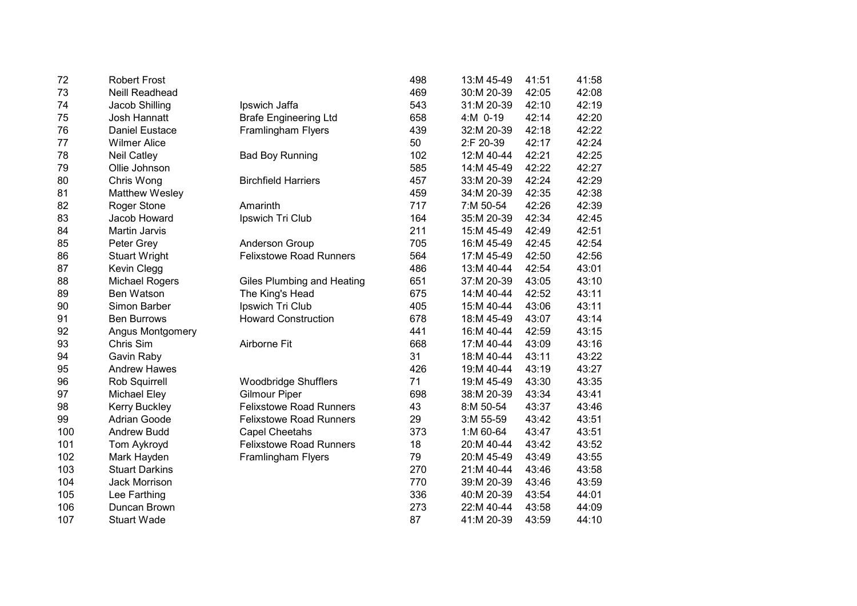| 72  | <b>Robert Frost</b>     |                                | 498 | 13:M 45-49 | 41:51 | 41:58 |
|-----|-------------------------|--------------------------------|-----|------------|-------|-------|
| 73  | Neill Readhead          |                                | 469 | 30:M 20-39 | 42:05 | 42:08 |
| 74  | Jacob Shilling          | Ipswich Jaffa                  | 543 | 31:M 20-39 | 42:10 | 42:19 |
| 75  | Josh Hannatt            | <b>Brafe Engineering Ltd</b>   | 658 | 4:M 0-19   | 42:14 | 42:20 |
| 76  | <b>Daniel Eustace</b>   | Framlingham Flyers             | 439 | 32:M 20-39 | 42:18 | 42:22 |
| 77  | <b>Wilmer Alice</b>     |                                | 50  | 2:F 20-39  | 42:17 | 42:24 |
| 78  | <b>Neil Catley</b>      | <b>Bad Boy Running</b>         | 102 | 12:M 40-44 | 42:21 | 42:25 |
| 79  | Ollie Johnson           |                                | 585 | 14:M 45-49 | 42:22 | 42:27 |
| 80  | Chris Wong              | <b>Birchfield Harriers</b>     | 457 | 33:M 20-39 | 42:24 | 42:29 |
| 81  | Matthew Wesley          |                                | 459 | 34:M 20-39 | 42:35 | 42:38 |
| 82  | Roger Stone             | Amarinth                       | 717 | 7:M 50-54  | 42:26 | 42:39 |
| 83  | Jacob Howard            | Ipswich Tri Club               | 164 | 35:M 20-39 | 42:34 | 42:45 |
| 84  | <b>Martin Jarvis</b>    |                                | 211 | 15:M 45-49 | 42:49 | 42:51 |
| 85  | Peter Grey              | Anderson Group                 | 705 | 16:M 45-49 | 42:45 | 42:54 |
| 86  | <b>Stuart Wright</b>    | <b>Felixstowe Road Runners</b> | 564 | 17:M 45-49 | 42:50 | 42:56 |
| 87  | Kevin Clegg             |                                | 486 | 13:M 40-44 | 42:54 | 43:01 |
| 88  | Michael Rogers          | Giles Plumbing and Heating     | 651 | 37:M 20-39 | 43:05 | 43:10 |
| 89  | Ben Watson              | The King's Head                | 675 | 14:M 40-44 | 42:52 | 43:11 |
| 90  | Simon Barber            | Ipswich Tri Club               | 405 | 15:M 40-44 | 43:06 | 43:11 |
| 91  | <b>Ben Burrows</b>      | <b>Howard Construction</b>     | 678 | 18:M 45-49 | 43:07 | 43:14 |
| 92  | <b>Angus Montgomery</b> |                                | 441 | 16:M 40-44 | 42:59 | 43:15 |
| 93  | Chris Sim               | Airborne Fit                   | 668 | 17:M 40-44 | 43:09 | 43:16 |
| 94  | Gavin Raby              |                                | 31  | 18:M 40-44 | 43:11 | 43:22 |
| 95  | <b>Andrew Hawes</b>     |                                | 426 | 19:M 40-44 | 43:19 | 43:27 |
| 96  | Rob Squirrell           | <b>Woodbridge Shufflers</b>    | 71  | 19:M 45-49 | 43:30 | 43:35 |
| 97  | <b>Michael Eley</b>     | <b>Gilmour Piper</b>           | 698 | 38:M 20-39 | 43:34 | 43:41 |
| 98  | <b>Kerry Buckley</b>    | <b>Felixstowe Road Runners</b> | 43  | 8:M 50-54  | 43:37 | 43:46 |
| 99  | <b>Adrian Goode</b>     | <b>Felixstowe Road Runners</b> | 29  | 3:M 55-59  | 43:42 | 43:51 |
| 100 | <b>Andrew Budd</b>      | <b>Capel Cheetahs</b>          | 373 | 1:M 60-64  | 43:47 | 43:51 |
| 101 | Tom Aykroyd             | <b>Felixstowe Road Runners</b> | 18  | 20:M 40-44 | 43:42 | 43:52 |
| 102 | Mark Hayden             | Framlingham Flyers             | 79  | 20:M 45-49 | 43:49 | 43:55 |
| 103 | <b>Stuart Darkins</b>   |                                | 270 | 21:M 40-44 | 43:46 | 43:58 |
| 104 | Jack Morrison           |                                | 770 | 39:M 20-39 | 43:46 | 43:59 |
| 105 | Lee Farthing            |                                | 336 | 40:M 20-39 | 43:54 | 44:01 |
| 106 | Duncan Brown            |                                | 273 | 22:M 40-44 | 43:58 | 44:09 |
| 107 | <b>Stuart Wade</b>      |                                | 87  | 41:M 20-39 | 43:59 | 44:10 |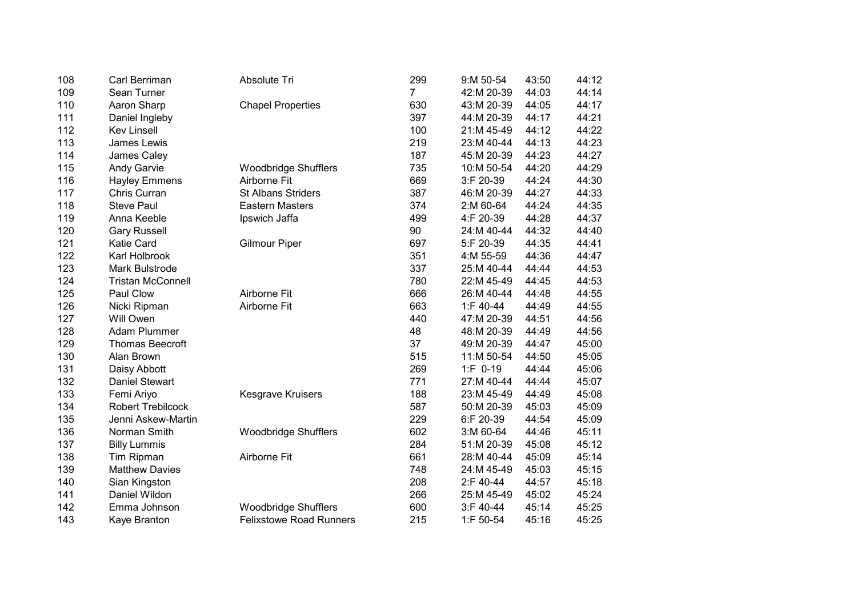| 108 | Carl Berriman            | Absolute Tri                   | 299            | 9:M 50-54  | 43:50 | 44:12 |
|-----|--------------------------|--------------------------------|----------------|------------|-------|-------|
| 109 | Sean Turner              |                                | $\overline{7}$ | 42:M 20-39 | 44:03 | 44:14 |
| 110 | Aaron Sharp              | <b>Chapel Properties</b>       | 630            | 43:M 20-39 | 44:05 | 44:17 |
| 111 | Daniel Ingleby           |                                | 397            | 44:M 20-39 | 44:17 | 44:21 |
| 112 | <b>Kev Linsell</b>       |                                | 100            | 21:M 45-49 | 44:12 | 44:22 |
| 113 | James Lewis              |                                | 219            | 23:M 40-44 | 44:13 | 44:23 |
| 114 | James Caley              |                                | 187            | 45:M 20-39 | 44:23 | 44:27 |
| 115 | <b>Andy Garvie</b>       | <b>Woodbridge Shufflers</b>    | 735            | 10:M 50-54 | 44:20 | 44:29 |
| 116 | <b>Hayley Emmens</b>     | Airborne Fit                   | 669            | 3:F 20-39  | 44:24 | 44:30 |
| 117 | Chris Curran             | <b>St Albans Striders</b>      | 387            | 46:M 20-39 | 44:27 | 44:33 |
| 118 | <b>Steve Paul</b>        | <b>Eastern Masters</b>         | 374            | 2:M 60-64  | 44:24 | 44:35 |
| 119 | Anna Keeble              | Ipswich Jaffa                  | 499            | 4:F 20-39  | 44:28 | 44:37 |
| 120 | <b>Gary Russell</b>      |                                | 90             | 24:M 40-44 | 44:32 | 44:40 |
| 121 | Katie Card               | <b>Gilmour Piper</b>           | 697            | 5:F 20-39  | 44:35 | 44:41 |
| 122 | Karl Holbrook            |                                | 351            | 4:M 55-59  | 44:36 | 44:47 |
| 123 | Mark Bulstrode           |                                | 337            | 25:M 40-44 | 44:44 | 44:53 |
| 124 | <b>Tristan McConnell</b> |                                | 780            | 22:M 45-49 | 44:45 | 44:53 |
| 125 | Paul Clow                | Airborne Fit                   | 666            | 26:M 40-44 | 44:48 | 44:55 |
| 126 | Nicki Ripman             | Airborne Fit                   | 663            | 1:F 40-44  | 44:49 | 44:55 |
| 127 | Will Owen                |                                | 440            | 47:M 20-39 | 44:51 | 44:56 |
| 128 | Adam Plummer             |                                | 48             | 48:M 20-39 | 44:49 | 44:56 |
| 129 | <b>Thomas Beecroft</b>   |                                | 37             | 49:M 20-39 | 44:47 | 45:00 |
| 130 | Alan Brown               |                                | 515            | 11:M 50-54 | 44:50 | 45:05 |
| 131 | Daisy Abbott             |                                | 269            | $1:F$ 0-19 | 44:44 | 45:06 |
| 132 | <b>Daniel Stewart</b>    |                                | 771            | 27:M 40-44 | 44:44 | 45:07 |
| 133 | Femi Ariyo               | Kesgrave Kruisers              | 188            | 23:M 45-49 | 44:49 | 45:08 |
| 134 | <b>Robert Trebilcock</b> |                                | 587            | 50:M 20-39 | 45:03 | 45:09 |
| 135 | Jenni Askew-Martin       |                                | 229            | 6:F 20-39  | 44:54 | 45:09 |
| 136 | Norman Smith             | <b>Woodbridge Shufflers</b>    | 602            | 3:M 60-64  | 44:46 | 45:11 |
| 137 | <b>Billy Lummis</b>      |                                | 284            | 51:M 20-39 | 45:08 | 45:12 |
| 138 | Tim Ripman               | Airborne Fit                   | 661            | 28:M 40-44 | 45:09 | 45:14 |
| 139 | <b>Matthew Davies</b>    |                                | 748            | 24:M 45-49 | 45:03 | 45:15 |
| 140 | Sian Kingston            |                                | 208            | 2:F 40-44  | 44:57 | 45:18 |
| 141 | Daniel Wildon            |                                | 266            | 25:M 45-49 | 45:02 | 45:24 |
| 142 | Emma Johnson             | <b>Woodbridge Shufflers</b>    | 600            | 3:F 40-44  | 45:14 | 45:25 |
| 143 | Kaye Branton             | <b>Felixstowe Road Runners</b> | 215            | 1:F 50-54  | 45:16 | 45:25 |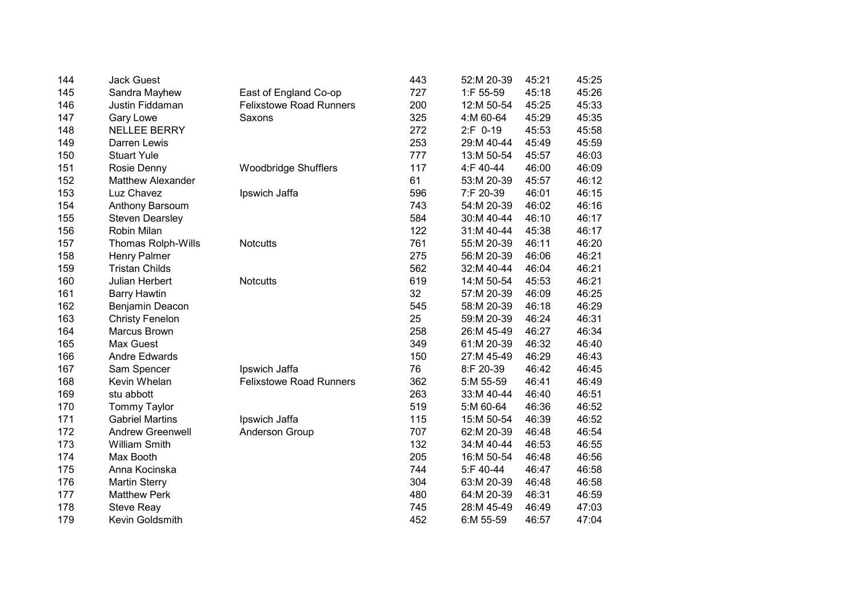| 144 | <b>Jack Guest</b>         |                                | 443 | 52:M 20-39 | 45:21 | 45:25 |
|-----|---------------------------|--------------------------------|-----|------------|-------|-------|
| 145 | Sandra Mayhew             | East of England Co-op          | 727 | 1:F 55-59  | 45:18 | 45:26 |
| 146 | Justin Fiddaman           | <b>Felixstowe Road Runners</b> | 200 | 12:M 50-54 | 45:25 | 45:33 |
| 147 | Gary Lowe                 | Saxons                         | 325 | 4:M 60-64  | 45:29 | 45:35 |
| 148 | <b>NELLEE BERRY</b>       |                                | 272 | 2:F 0-19   | 45:53 | 45:58 |
| 149 | Darren Lewis              |                                | 253 | 29:M 40-44 | 45:49 | 45:59 |
| 150 | <b>Stuart Yule</b>        |                                | 777 | 13:M 50-54 | 45:57 | 46:03 |
| 151 | Rosie Denny               | <b>Woodbridge Shufflers</b>    | 117 | 4:F 40-44  | 46:00 | 46:09 |
| 152 | <b>Matthew Alexander</b>  |                                | 61  | 53:M 20-39 | 45:57 | 46:12 |
| 153 | Luz Chavez                | Ipswich Jaffa                  | 596 | 7:F 20-39  | 46:01 | 46:15 |
| 154 | Anthony Barsoum           |                                | 743 | 54:M 20-39 | 46:02 | 46:16 |
| 155 | <b>Steven Dearsley</b>    |                                | 584 | 30:M 40-44 | 46:10 | 46:17 |
| 156 | Robin Milan               |                                | 122 | 31:M 40-44 | 45:38 | 46:17 |
| 157 | <b>Thomas Rolph-Wills</b> | <b>Notcutts</b>                | 761 | 55:M 20-39 | 46:11 | 46:20 |
| 158 | <b>Henry Palmer</b>       |                                | 275 | 56:M 20-39 | 46:06 | 46:21 |
| 159 | <b>Tristan Childs</b>     |                                | 562 | 32:M 40-44 | 46:04 | 46:21 |
| 160 | Julian Herbert            | <b>Notcutts</b>                | 619 | 14:M 50-54 | 45:53 | 46:21 |
| 161 | <b>Barry Hawtin</b>       |                                | 32  | 57:M 20-39 | 46:09 | 46:25 |
| 162 | Benjamin Deacon           |                                | 545 | 58:M 20-39 | 46:18 | 46:29 |
| 163 | <b>Christy Fenelon</b>    |                                | 25  | 59:M 20-39 | 46:24 | 46:31 |
| 164 | Marcus Brown              |                                | 258 | 26:M 45-49 | 46:27 | 46:34 |
| 165 | Max Guest                 |                                | 349 | 61:M 20-39 | 46:32 | 46:40 |
| 166 | <b>Andre Edwards</b>      |                                | 150 | 27:M 45-49 | 46:29 | 46:43 |
| 167 | Sam Spencer               | Ipswich Jaffa                  | 76  | 8:F 20-39  | 46:42 | 46:45 |
| 168 | Kevin Whelan              | <b>Felixstowe Road Runners</b> | 362 | 5:M 55-59  | 46:41 | 46:49 |
| 169 | stu abbott                |                                | 263 | 33:M 40-44 | 46:40 | 46:51 |
| 170 | <b>Tommy Taylor</b>       |                                | 519 | 5:M 60-64  | 46:36 | 46:52 |
| 171 | <b>Gabriel Martins</b>    | Ipswich Jaffa                  | 115 | 15:M 50-54 | 46:39 | 46:52 |
| 172 | <b>Andrew Greenwell</b>   | Anderson Group                 | 707 | 62:M 20-39 | 46:48 | 46:54 |
| 173 | <b>William Smith</b>      |                                | 132 | 34:M 40-44 | 46:53 | 46:55 |
| 174 | Max Booth                 |                                | 205 | 16:M 50-54 | 46:48 | 46:56 |
| 175 | Anna Kocinska             |                                | 744 | 5:F 40-44  | 46:47 | 46:58 |
| 176 | <b>Martin Sterry</b>      |                                | 304 | 63:M 20-39 | 46:48 | 46:58 |
| 177 | <b>Matthew Perk</b>       |                                | 480 | 64:M 20-39 | 46:31 | 46:59 |
| 178 | <b>Steve Reay</b>         |                                | 745 | 28:M 45-49 | 46:49 | 47:03 |
| 179 | Kevin Goldsmith           |                                | 452 | 6:M 55-59  | 46:57 | 47:04 |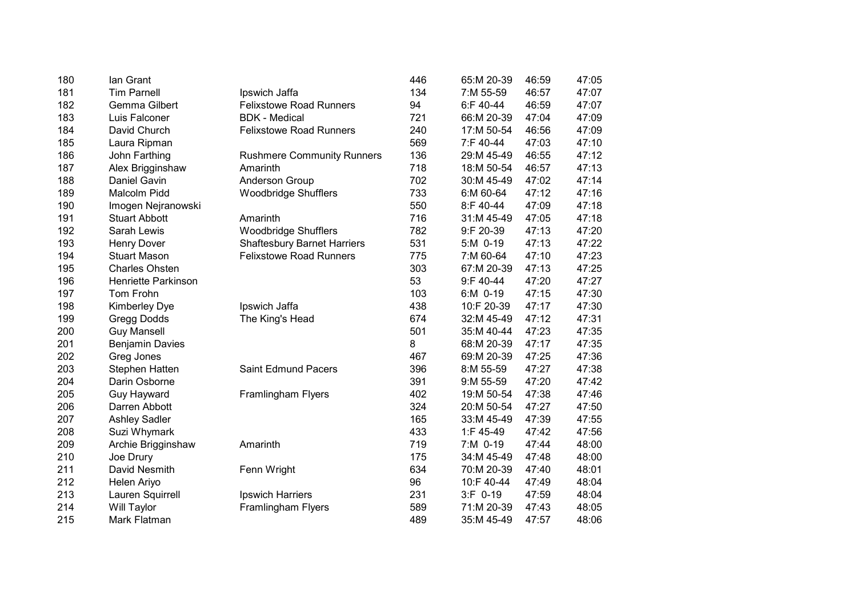| 180 | lan Grant                  |                                    | 446 | 65:M 20-39 | 46:59 | 47:05 |
|-----|----------------------------|------------------------------------|-----|------------|-------|-------|
| 181 | <b>Tim Parnell</b>         | Ipswich Jaffa                      | 134 | 7:M 55-59  | 46:57 | 47:07 |
| 182 | Gemma Gilbert              | <b>Felixstowe Road Runners</b>     | 94  | 6:F 40-44  | 46:59 | 47:07 |
| 183 | Luis Falconer              | <b>BDK</b> - Medical               | 721 | 66:M 20-39 | 47:04 | 47:09 |
| 184 | David Church               | <b>Felixstowe Road Runners</b>     | 240 | 17:M 50-54 | 46:56 | 47:09 |
| 185 | Laura Ripman               |                                    | 569 | 7:F 40-44  | 47:03 | 47:10 |
| 186 | John Farthing              | <b>Rushmere Community Runners</b>  | 136 | 29:M 45-49 | 46:55 | 47:12 |
| 187 | Alex Brigginshaw           | Amarinth                           | 718 | 18:M 50-54 | 46:57 | 47:13 |
| 188 | Daniel Gavin               | Anderson Group                     | 702 | 30:M 45-49 | 47:02 | 47:14 |
| 189 | Malcolm Pidd               | <b>Woodbridge Shufflers</b>        | 733 | 6:M 60-64  | 47:12 | 47:16 |
| 190 | Imogen Nejranowski         |                                    | 550 | 8:F 40-44  | 47:09 | 47:18 |
| 191 | <b>Stuart Abbott</b>       | Amarinth                           | 716 | 31:M 45-49 | 47:05 | 47:18 |
| 192 | Sarah Lewis                | Woodbridge Shufflers               | 782 | 9:F 20-39  | 47:13 | 47:20 |
| 193 | <b>Henry Dover</b>         | <b>Shaftesbury Barnet Harriers</b> | 531 | 5:M 0-19   | 47:13 | 47:22 |
| 194 | <b>Stuart Mason</b>        | <b>Felixstowe Road Runners</b>     | 775 | 7:M 60-64  | 47:10 | 47:23 |
| 195 | <b>Charles Ohsten</b>      |                                    | 303 | 67:M 20-39 | 47:13 | 47:25 |
| 196 | <b>Henriette Parkinson</b> |                                    | 53  | 9:F 40-44  | 47:20 | 47:27 |
| 197 | Tom Frohn                  |                                    | 103 | 6:M 0-19   | 47:15 | 47:30 |
| 198 | <b>Kimberley Dye</b>       | Ipswich Jaffa                      | 438 | 10:F 20-39 | 47:17 | 47:30 |
| 199 | Gregg Dodds                | The King's Head                    | 674 | 32:M 45-49 | 47:12 | 47:31 |
| 200 | <b>Guy Mansell</b>         |                                    | 501 | 35:M 40-44 | 47:23 | 47:35 |
| 201 | <b>Benjamin Davies</b>     |                                    | 8   | 68:M 20-39 | 47:17 | 47:35 |
| 202 | Greg Jones                 |                                    | 467 | 69:M 20-39 | 47:25 | 47:36 |
| 203 | Stephen Hatten             | <b>Saint Edmund Pacers</b>         | 396 | 8:M 55-59  | 47:27 | 47:38 |
| 204 | Darin Osborne              |                                    | 391 | 9:M 55-59  | 47:20 | 47:42 |
| 205 | Guy Hayward                | <b>Framlingham Flyers</b>          | 402 | 19:M 50-54 | 47:38 | 47:46 |
| 206 | Darren Abbott              |                                    | 324 | 20:M 50-54 | 47:27 | 47:50 |
| 207 | <b>Ashley Sadler</b>       |                                    | 165 | 33:M 45-49 | 47:39 | 47:55 |
| 208 | Suzi Whymark               |                                    | 433 | 1:F 45-49  | 47:42 | 47:56 |
| 209 | Archie Brigginshaw         | Amarinth                           | 719 | 7:M 0-19   | 47:44 | 48:00 |
| 210 | Joe Drury                  |                                    | 175 | 34:M 45-49 | 47:48 | 48:00 |
| 211 | David Nesmith              | Fenn Wright                        | 634 | 70:M 20-39 | 47:40 | 48:01 |
| 212 | Helen Ariyo                |                                    | 96  | 10:F 40-44 | 47:49 | 48:04 |
| 213 | Lauren Squirrell           | Ipswich Harriers                   | 231 | 3:F 0-19   | 47:59 | 48:04 |
| 214 | Will Taylor                | Framlingham Flyers                 | 589 | 71:M 20-39 | 47:43 | 48:05 |
| 215 | Mark Flatman               |                                    | 489 | 35:M 45-49 | 47:57 | 48:06 |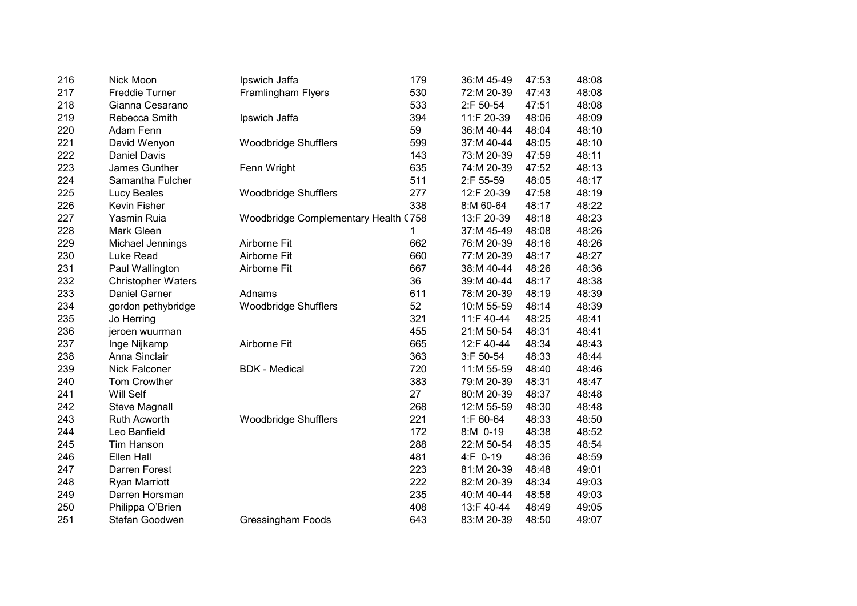| 216 | Nick Moon                 | Ipswich Jaffa                        | 179 | 36:M 45-49 | 47:53 | 48:08 |
|-----|---------------------------|--------------------------------------|-----|------------|-------|-------|
| 217 | <b>Freddie Turner</b>     | Framlingham Flyers                   | 530 | 72:M 20-39 | 47:43 | 48:08 |
| 218 | Gianna Cesarano           |                                      | 533 | 2:F 50-54  | 47:51 | 48:08 |
| 219 | Rebecca Smith             | Ipswich Jaffa                        | 394 | 11:F 20-39 | 48:06 | 48:09 |
| 220 | Adam Fenn                 |                                      | 59  | 36:M 40-44 | 48:04 | 48:10 |
| 221 | David Wenyon              | <b>Woodbridge Shufflers</b>          | 599 | 37:M 40-44 | 48:05 | 48:10 |
| 222 | <b>Daniel Davis</b>       |                                      | 143 | 73:M 20-39 | 47:59 | 48:11 |
| 223 | James Gunther             | Fenn Wright                          | 635 | 74:M 20-39 | 47:52 | 48:13 |
| 224 | Samantha Fulcher          |                                      | 511 | 2:F 55-59  | 48:05 | 48:17 |
| 225 | Lucy Beales               | <b>Woodbridge Shufflers</b>          | 277 | 12:F 20-39 | 47:58 | 48:19 |
| 226 | Kevin Fisher              |                                      | 338 | 8:M 60-64  | 48:17 | 48:22 |
| 227 | Yasmin Ruia               | Woodbridge Complementary Health (758 |     | 13:F 20-39 | 48:18 | 48:23 |
| 228 | Mark Gleen                |                                      | 1   | 37:M 45-49 | 48:08 | 48:26 |
| 229 | Michael Jennings          | Airborne Fit                         | 662 | 76:M 20-39 | 48:16 | 48:26 |
| 230 | Luke Read                 | Airborne Fit                         | 660 | 77:M 20-39 | 48:17 | 48:27 |
| 231 | Paul Wallington           | Airborne Fit                         | 667 | 38:M 40-44 | 48:26 | 48:36 |
| 232 | <b>Christopher Waters</b> |                                      | 36  | 39:M 40-44 | 48:17 | 48:38 |
| 233 | Daniel Garner             | Adnams                               | 611 | 78:M 20-39 | 48:19 | 48:39 |
| 234 | gordon pethybridge        | <b>Woodbridge Shufflers</b>          | 52  | 10:M 55-59 | 48:14 | 48:39 |
| 235 | Jo Herring                |                                      | 321 | 11:F 40-44 | 48:25 | 48:41 |
| 236 | jeroen wuurman            |                                      | 455 | 21:M 50-54 | 48:31 | 48:41 |
| 237 | Inge Nijkamp              | Airborne Fit                         | 665 | 12:F 40-44 | 48:34 | 48:43 |
| 238 | Anna Sinclair             |                                      | 363 | 3:F 50-54  | 48:33 | 48:44 |
| 239 | <b>Nick Falconer</b>      | <b>BDK - Medical</b>                 | 720 | 11:M 55-59 | 48:40 | 48:46 |
| 240 | Tom Crowther              |                                      | 383 | 79:M 20-39 | 48:31 | 48:47 |
| 241 | Will Self                 |                                      | 27  | 80:M 20-39 | 48:37 | 48:48 |
| 242 | <b>Steve Magnall</b>      |                                      | 268 | 12:M 55-59 | 48:30 | 48:48 |
| 243 | <b>Ruth Acworth</b>       | <b>Woodbridge Shufflers</b>          | 221 | 1:F 60-64  | 48:33 | 48:50 |
| 244 | Leo Banfield              |                                      | 172 | 8:M 0-19   | 48:38 | 48:52 |
| 245 | <b>Tim Hanson</b>         |                                      | 288 | 22:M 50-54 | 48:35 | 48:54 |
| 246 | Ellen Hall                |                                      | 481 | 4:F 0-19   | 48:36 | 48:59 |
| 247 | Darren Forest             |                                      | 223 | 81:M 20-39 | 48:48 | 49:01 |
| 248 | Ryan Marriott             |                                      | 222 | 82:M 20-39 | 48:34 | 49:03 |
| 249 | Darren Horsman            |                                      | 235 | 40:M 40-44 | 48:58 | 49:03 |
| 250 | Philippa O'Brien          |                                      | 408 | 13:F 40-44 | 48:49 | 49:05 |
| 251 | Stefan Goodwen            | Gressingham Foods                    | 643 | 83:M 20-39 | 48:50 | 49:07 |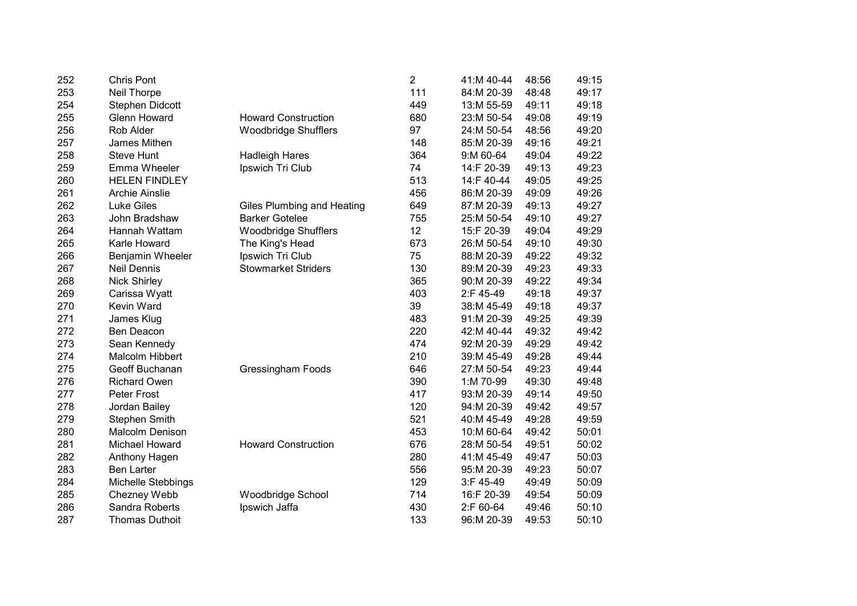| 252 | <b>Chris Pont</b>     |                                   | $\overline{2}$ | 41:M 40-44   | 48:56 | 49:15 |
|-----|-----------------------|-----------------------------------|----------------|--------------|-------|-------|
| 253 | Neil Thorpe           |                                   | 111            | 84:M 20-39   | 48:48 | 49:17 |
| 254 | Stephen Didcott       |                                   | 449            | 13:M 55-59   | 49:11 | 49:18 |
| 255 | <b>Glenn Howard</b>   | <b>Howard Construction</b>        | 680            | 23:M 50-54   | 49:08 | 49:19 |
| 256 | Rob Alder             | <b>Woodbridge Shufflers</b>       | 97             | 24:M 50-54   | 48:56 | 49:20 |
| 257 | James Mithen          |                                   | 148            | 85:M 20-39   | 49:16 | 49:21 |
| 258 | <b>Steve Hunt</b>     | <b>Hadleigh Hares</b>             | 364            | 9:M 60-64    | 49:04 | 49:22 |
| 259 | Emma Wheeler          | Ipswich Tri Club                  | 74             | 14:F 20-39   | 49:13 | 49:23 |
| 260 | <b>HELEN FINDLEY</b>  |                                   | 513            | 14:F 40-44   | 49:05 | 49:25 |
| 261 | <b>Archie Ainslie</b> |                                   | 456            | 86:M 20-39   | 49:09 | 49:26 |
| 262 | <b>Luke Giles</b>     | <b>Giles Plumbing and Heating</b> | 649            | 87:M 20-39   | 49:13 | 49:27 |
| 263 | John Bradshaw         | <b>Barker Gotelee</b>             | 755            | 25:M 50-54   | 49:10 | 49:27 |
| 264 | Hannah Wattam         | <b>Woodbridge Shufflers</b>       | 12             | 15:F 20-39   | 49:04 | 49:29 |
| 265 | Karle Howard          | The King's Head                   | 673            | 26:M 50-54   | 49:10 | 49:30 |
| 266 | Benjamin Wheeler      | Ipswich Tri Club                  | 75             | 88:M 20-39   | 49:22 | 49:32 |
| 267 | Neil Dennis           | <b>Stowmarket Striders</b>        | 130            | 89:M 20-39   | 49:23 | 49:33 |
| 268 | <b>Nick Shirley</b>   |                                   | 365            | 90:M 20-39   | 49:22 | 49:34 |
| 269 | Carissa Wyatt         |                                   | 403            | 2:F 45-49    | 49:18 | 49:37 |
| 270 | Kevin Ward            |                                   | 39             | 38:M 45-49   | 49:18 | 49:37 |
| 271 | James Klug            |                                   | 483            | 91:M 20-39   | 49:25 | 49:39 |
| 272 | Ben Deacon            |                                   | 220            | 42:M 40-44   | 49:32 | 49:42 |
| 273 | Sean Kennedy          |                                   | 474            | 92:M 20-39   | 49:29 | 49:42 |
| 274 | Malcolm Hibbert       |                                   | 210            | 39:M 45-49   | 49:28 | 49:44 |
| 275 | Geoff Buchanan        | <b>Gressingham Foods</b>          | 646            | 27:M 50-54   | 49:23 | 49:44 |
| 276 | <b>Richard Owen</b>   |                                   | 390            | 1:M 70-99    | 49:30 | 49:48 |
| 277 | Peter Frost           |                                   | 417            | 93:M 20-39   | 49:14 | 49:50 |
| 278 | Jordan Bailey         |                                   | 120            | 94:M 20-39   | 49:42 | 49:57 |
| 279 | <b>Stephen Smith</b>  |                                   | 521            | 40:M 45-49   | 49:28 | 49:59 |
| 280 | Malcolm Denison       |                                   | 453            | 10:M 60-64   | 49:42 | 50:01 |
| 281 | <b>Michael Howard</b> | <b>Howard Construction</b>        | 676            | 28:M 50-54   | 49:51 | 50:02 |
| 282 | Anthony Hagen         |                                   | 280            | 41:M 45-49   | 49:47 | 50:03 |
| 283 | <b>Ben Larter</b>     |                                   | 556            | 95:M 20-39   | 49:23 | 50:07 |
| 284 | Michelle Stebbings    |                                   | 129            | $3:$ F 45-49 | 49:49 | 50:09 |
| 285 | Chezney Webb          | Woodbridge School                 | 714            | 16:F 20-39   | 49:54 | 50:09 |
| 286 | Sandra Roberts        | Ipswich Jaffa                     | 430            | 2:F 60-64    | 49:46 | 50:10 |
| 287 | Thomas Duthoit        |                                   | 133            | 96:M 20-39   | 49:53 | 50:10 |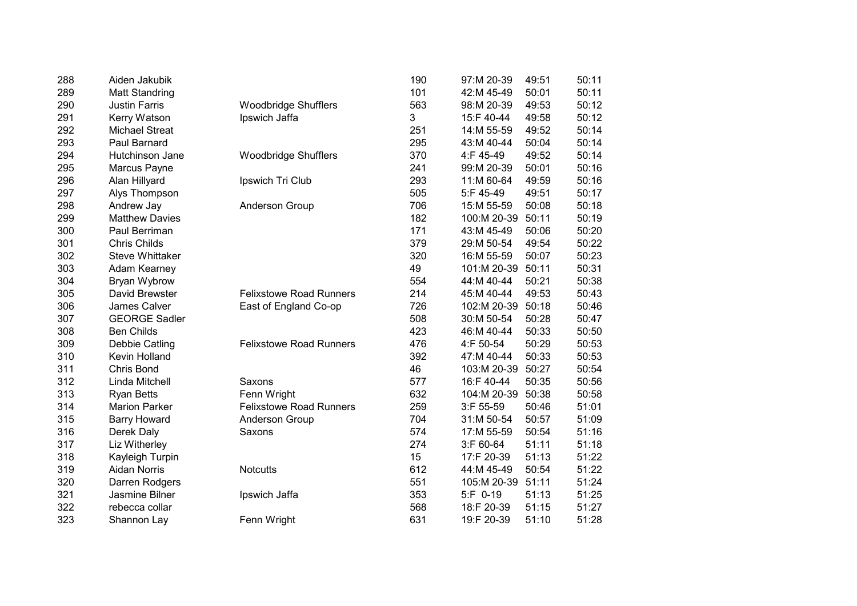| 288 | Aiden Jakubik          |                                | 190 | 97:M 20-39  | 49:51 | 50:11 |
|-----|------------------------|--------------------------------|-----|-------------|-------|-------|
| 289 | <b>Matt Standring</b>  |                                | 101 | 42:M 45-49  | 50:01 | 50:11 |
| 290 | <b>Justin Farris</b>   | <b>Woodbridge Shufflers</b>    | 563 | 98:M 20-39  | 49:53 | 50:12 |
| 291 | Kerry Watson           | Ipswich Jaffa                  | 3   | 15:F 40-44  | 49:58 | 50:12 |
| 292 | <b>Michael Streat</b>  |                                | 251 | 14:M 55-59  | 49:52 | 50:14 |
| 293 | Paul Barnard           |                                | 295 | 43:M 40-44  | 50:04 | 50:14 |
| 294 | Hutchinson Jane        | <b>Woodbridge Shufflers</b>    | 370 | 4:F 45-49   | 49:52 | 50:14 |
| 295 | Marcus Payne           |                                | 241 | 99:M 20-39  | 50:01 | 50:16 |
| 296 | Alan Hillyard          | Ipswich Tri Club               | 293 | 11:M 60-64  | 49:59 | 50:16 |
| 297 | Alys Thompson          |                                | 505 | 5:F 45-49   | 49:51 | 50:17 |
| 298 | Andrew Jay             | <b>Anderson Group</b>          | 706 | 15:M 55-59  | 50:08 | 50:18 |
| 299 | <b>Matthew Davies</b>  |                                | 182 | 100:M 20-39 | 50:11 | 50:19 |
| 300 | Paul Berriman          |                                | 171 | 43:M 45-49  | 50:06 | 50:20 |
| 301 | <b>Chris Childs</b>    |                                | 379 | 29:M 50-54  | 49:54 | 50:22 |
| 302 | <b>Steve Whittaker</b> |                                | 320 | 16:M 55-59  | 50:07 | 50:23 |
| 303 | Adam Kearney           |                                | 49  | 101:M 20-39 | 50:11 | 50:31 |
| 304 | Bryan Wybrow           |                                | 554 | 44:M 40-44  | 50:21 | 50:38 |
| 305 | David Brewster         | <b>Felixstowe Road Runners</b> | 214 | 45:M 40-44  | 49:53 | 50:43 |
| 306 | James Calver           | East of England Co-op          | 726 | 102:M 20-39 | 50:18 | 50:46 |
| 307 | <b>GEORGE Sadler</b>   |                                | 508 | 30:M 50-54  | 50:28 | 50:47 |
| 308 | <b>Ben Childs</b>      |                                | 423 | 46:M 40-44  | 50:33 | 50:50 |
| 309 | Debbie Catling         | <b>Felixstowe Road Runners</b> | 476 | 4:F 50-54   | 50:29 | 50:53 |
| 310 | Kevin Holland          |                                | 392 | 47:M 40-44  | 50:33 | 50:53 |
| 311 | Chris Bond             |                                | 46  | 103:M 20-39 | 50:27 | 50:54 |
| 312 | Linda Mitchell         | Saxons                         | 577 | 16:F 40-44  | 50:35 | 50:56 |
| 313 | <b>Ryan Betts</b>      | Fenn Wright                    | 632 | 104:M 20-39 | 50:38 | 50:58 |
| 314 | <b>Marion Parker</b>   | <b>Felixstowe Road Runners</b> | 259 | 3:F 55-59   | 50:46 | 51:01 |
| 315 | <b>Barry Howard</b>    | <b>Anderson Group</b>          | 704 | 31:M 50-54  | 50:57 | 51:09 |
| 316 | Derek Daly             | Saxons                         | 574 | 17:M 55-59  | 50:54 | 51:16 |
| 317 | Liz Witherley          |                                | 274 | 3:F 60-64   | 51:11 | 51:18 |
| 318 | Kayleigh Turpin        |                                | 15  | 17:F 20-39  | 51:13 | 51:22 |
| 319 | <b>Aidan Norris</b>    | <b>Notcutts</b>                | 612 | 44:M 45-49  | 50:54 | 51:22 |
| 320 | Darren Rodgers         |                                | 551 | 105:M 20-39 | 51:11 | 51:24 |
| 321 | Jasmine Bilner         | Ipswich Jaffa                  | 353 | 5:F 0-19    | 51:13 | 51:25 |
| 322 | rebecca collar         |                                | 568 | 18:F 20-39  | 51:15 | 51:27 |
| 323 | Shannon Lay            | Fenn Wright                    | 631 | 19:F 20-39  | 51:10 | 51:28 |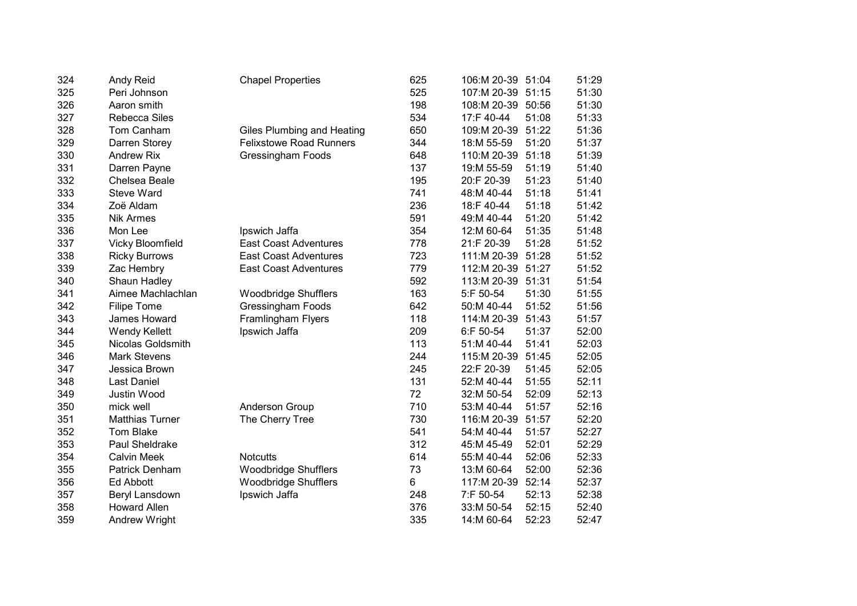| 324 | Andy Reid              | <b>Chapel Properties</b>       | 625 | 106:M 20-39 | 51:04 | 51:29 |
|-----|------------------------|--------------------------------|-----|-------------|-------|-------|
| 325 | Peri Johnson           |                                | 525 | 107:M 20-39 | 51:15 | 51:30 |
| 326 | Aaron smith            |                                | 198 | 108:M 20-39 | 50:56 | 51:30 |
| 327 | <b>Rebecca Siles</b>   |                                | 534 | 17:F 40-44  | 51:08 | 51:33 |
| 328 | Tom Canham             | Giles Plumbing and Heating     | 650 | 109:M 20-39 | 51:22 | 51:36 |
| 329 | Darren Storey          | <b>Felixstowe Road Runners</b> | 344 | 18:M 55-59  | 51:20 | 51:37 |
| 330 | <b>Andrew Rix</b>      | <b>Gressingham Foods</b>       | 648 | 110:M 20-39 | 51:18 | 51:39 |
| 331 | Darren Payne           |                                | 137 | 19:M 55-59  | 51:19 | 51:40 |
| 332 | Chelsea Beale          |                                | 195 | 20:F 20-39  | 51:23 | 51:40 |
| 333 | <b>Steve Ward</b>      |                                | 741 | 48:M 40-44  | 51:18 | 51:41 |
| 334 | Zoë Aldam              |                                | 236 | 18:F 40-44  | 51:18 | 51:42 |
| 335 | <b>Nik Armes</b>       |                                | 591 | 49:M 40-44  | 51:20 | 51:42 |
| 336 | Mon Lee                | Ipswich Jaffa                  | 354 | 12:M 60-64  | 51:35 | 51:48 |
| 337 | Vicky Bloomfield       | <b>East Coast Adventures</b>   | 778 | 21:F 20-39  | 51:28 | 51:52 |
| 338 | <b>Ricky Burrows</b>   | <b>East Coast Adventures</b>   | 723 | 111:M 20-39 | 51:28 | 51:52 |
| 339 | Zac Hembry             | <b>East Coast Adventures</b>   | 779 | 112:M 20-39 | 51:27 | 51:52 |
| 340 | Shaun Hadley           |                                | 592 | 113:M 20-39 | 51:31 | 51:54 |
| 341 | Aimee Machlachlan      | Woodbridge Shufflers           | 163 | 5:F 50-54   | 51:30 | 51:55 |
| 342 | <b>Filipe Tome</b>     | <b>Gressingham Foods</b>       | 642 | 50:M 40-44  | 51:52 | 51:56 |
| 343 | James Howard           | Framlingham Flyers             | 118 | 114:M 20-39 | 51:43 | 51:57 |
| 344 | <b>Wendy Kellett</b>   | Ipswich Jaffa                  | 209 | 6:F 50-54   | 51:37 | 52:00 |
| 345 | Nicolas Goldsmith      |                                | 113 | 51:M 40-44  | 51:41 | 52:03 |
| 346 | <b>Mark Stevens</b>    |                                | 244 | 115:M 20-39 | 51:45 | 52:05 |
| 347 | Jessica Brown          |                                | 245 | 22:F 20-39  | 51:45 | 52:05 |
| 348 | Last Daniel            |                                | 131 | 52:M 40-44  | 51:55 | 52:11 |
| 349 | Justin Wood            |                                | 72  | 32:M 50-54  | 52:09 | 52:13 |
| 350 | mick well              | <b>Anderson Group</b>          | 710 | 53:M 40-44  | 51:57 | 52:16 |
| 351 | <b>Matthias Turner</b> | The Cherry Tree                | 730 | 116:M 20-39 | 51:57 | 52:20 |
| 352 | <b>Tom Blake</b>       |                                | 541 | 54:M 40-44  | 51:57 | 52:27 |
| 353 | Paul Sheldrake         |                                | 312 | 45:M 45-49  | 52:01 | 52:29 |
| 354 | <b>Calvin Meek</b>     | <b>Notcutts</b>                | 614 | 55:M 40-44  | 52:06 | 52:33 |
| 355 | Patrick Denham         | <b>Woodbridge Shufflers</b>    | 73  | 13:M 60-64  | 52:00 | 52:36 |
| 356 | Ed Abbott              | <b>Woodbridge Shufflers</b>    | 6   | 117:M 20-39 | 52:14 | 52:37 |
| 357 | Beryl Lansdown         | Ipswich Jaffa                  | 248 | 7:F 50-54   | 52:13 | 52:38 |
| 358 | <b>Howard Allen</b>    |                                | 376 | 33:M 50-54  | 52:15 | 52:40 |
| 359 | Andrew Wright          |                                | 335 | 14:M 60-64  | 52:23 | 52:47 |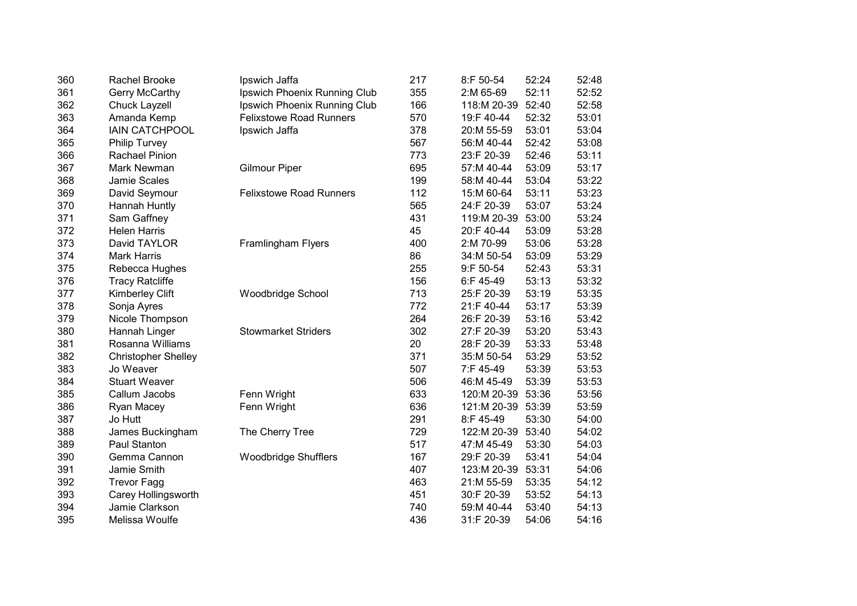| 360 | Rachel Brooke              | Ipswich Jaffa                  | 217 | 8:F 50-54    | 52:24 | 52:48 |
|-----|----------------------------|--------------------------------|-----|--------------|-------|-------|
| 361 | <b>Gerry McCarthy</b>      | Ipswich Phoenix Running Club   | 355 | 2:M 65-69    | 52:11 | 52:52 |
| 362 | <b>Chuck Layzell</b>       | Ipswich Phoenix Running Club   | 166 | 118:M 20-39  | 52:40 | 52:58 |
| 363 | Amanda Kemp                | <b>Felixstowe Road Runners</b> | 570 | 19:F 40-44   | 52:32 | 53:01 |
| 364 | <b>IAIN CATCHPOOL</b>      | Ipswich Jaffa                  | 378 | 20:M 55-59   | 53:01 | 53:04 |
| 365 | <b>Philip Turvey</b>       |                                | 567 | 56:M 40-44   | 52:42 | 53:08 |
| 366 | <b>Rachael Pinion</b>      |                                | 773 | 23:F 20-39   | 52:46 | 53:11 |
| 367 | Mark Newman                | <b>Gilmour Piper</b>           | 695 | 57:M 40-44   | 53:09 | 53:17 |
| 368 | Jamie Scales               |                                | 199 | 58:M 40-44   | 53:04 | 53:22 |
| 369 | David Seymour              | <b>Felixstowe Road Runners</b> | 112 | 15:M 60-64   | 53:11 | 53:23 |
| 370 | Hannah Huntly              |                                | 565 | 24:F 20-39   | 53:07 | 53:24 |
| 371 | Sam Gaffney                |                                | 431 | 119:M 20-39  | 53:00 | 53:24 |
| 372 | <b>Helen Harris</b>        |                                | 45  | 20:F 40-44   | 53:09 | 53:28 |
| 373 | David TAYLOR               | Framlingham Flyers             | 400 | 2:M 70-99    | 53:06 | 53:28 |
| 374 | <b>Mark Harris</b>         |                                | 86  | 34:M 50-54   | 53:09 | 53:29 |
| 375 | Rebecca Hughes             |                                | 255 | 9:F 50-54    | 52:43 | 53:31 |
| 376 | <b>Tracy Ratcliffe</b>     |                                | 156 | $6:$ F 45-49 | 53:13 | 53:32 |
| 377 | <b>Kimberley Clift</b>     | Woodbridge School              | 713 | 25:F 20-39   | 53:19 | 53:35 |
| 378 | Sonja Ayres                |                                | 772 | 21:F 40-44   | 53:17 | 53:39 |
| 379 | Nicole Thompson            |                                | 264 | 26:F 20-39   | 53:16 | 53:42 |
| 380 | Hannah Linger              | <b>Stowmarket Striders</b>     | 302 | 27:F 20-39   | 53:20 | 53:43 |
| 381 | Rosanna Williams           |                                | 20  | 28:F 20-39   | 53:33 | 53:48 |
| 382 | <b>Christopher Shelley</b> |                                | 371 | 35:M 50-54   | 53:29 | 53:52 |
| 383 | Jo Weaver                  |                                | 507 | 7:F 45-49    | 53:39 | 53:53 |
| 384 | <b>Stuart Weaver</b>       |                                | 506 | 46:M 45-49   | 53:39 | 53:53 |
| 385 | Callum Jacobs              | Fenn Wright                    | 633 | 120:M 20-39  | 53:36 | 53:56 |
| 386 | Ryan Macey                 | Fenn Wright                    | 636 | 121:M 20-39  | 53:39 | 53:59 |
| 387 | Jo Hutt                    |                                | 291 | 8:F 45-49    | 53:30 | 54:00 |
| 388 | James Buckingham           | The Cherry Tree                | 729 | 122:M 20-39  | 53:40 | 54:02 |
| 389 | <b>Paul Stanton</b>        |                                | 517 | 47:M 45-49   | 53:30 | 54:03 |
| 390 | Gemma Cannon               | <b>Woodbridge Shufflers</b>    | 167 | 29:F 20-39   | 53:41 | 54:04 |
| 391 | Jamie Smith                |                                | 407 | 123:M 20-39  | 53:31 | 54:06 |
| 392 | <b>Trevor Fagg</b>         |                                | 463 | 21:M 55-59   | 53:35 | 54:12 |
| 393 | Carey Hollingsworth        |                                | 451 | 30:F 20-39   | 53:52 | 54:13 |
| 394 | Jamie Clarkson             |                                | 740 | 59:M 40-44   | 53:40 | 54:13 |
| 395 | Melissa Woulfe             |                                | 436 | 31:F 20-39   | 54:06 | 54:16 |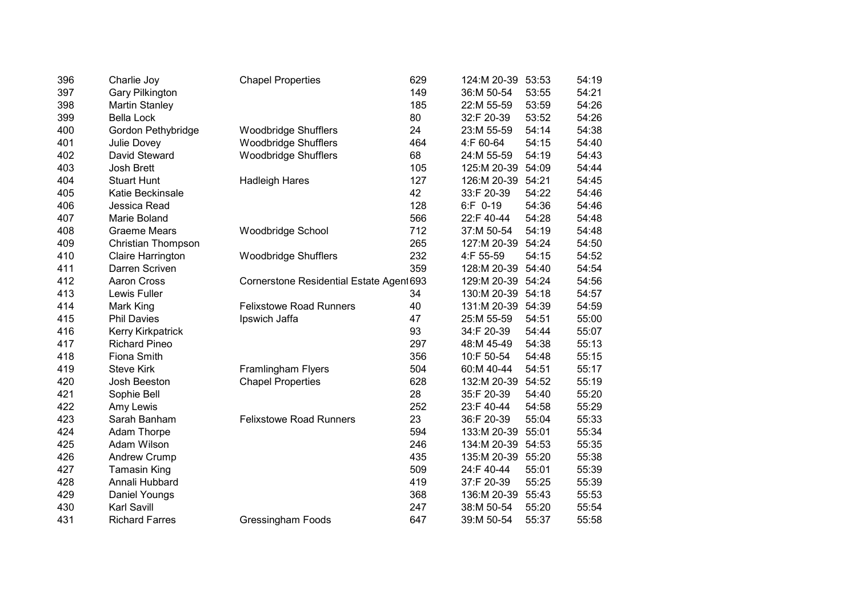| 396 | Charlie Joy               | <b>Chapel Properties</b>                 | 629 | 124:M 20-39 | 53:53 | 54:19 |
|-----|---------------------------|------------------------------------------|-----|-------------|-------|-------|
| 397 | <b>Gary Pilkington</b>    |                                          | 149 | 36:M 50-54  | 53:55 | 54:21 |
| 398 | <b>Martin Stanley</b>     |                                          | 185 | 22:M 55-59  | 53:59 | 54:26 |
| 399 | <b>Bella Lock</b>         |                                          | 80  | 32:F 20-39  | 53:52 | 54:26 |
| 400 | Gordon Pethybridge        | <b>Woodbridge Shufflers</b>              | 24  | 23:M 55-59  | 54:14 | 54:38 |
| 401 | Julie Dovey               | <b>Woodbridge Shufflers</b>              | 464 | 4:F 60-64   | 54:15 | 54:40 |
| 402 | David Steward             | <b>Woodbridge Shufflers</b>              | 68  | 24:M 55-59  | 54:19 | 54:43 |
| 403 | Josh Brett                |                                          | 105 | 125:M 20-39 | 54:09 | 54:44 |
| 404 | <b>Stuart Hunt</b>        | <b>Hadleigh Hares</b>                    | 127 | 126:M 20-39 | 54:21 | 54:45 |
| 405 | Katie Beckinsale          |                                          | 42  | 33:F 20-39  | 54:22 | 54:46 |
| 406 | Jessica Read              |                                          | 128 | 6:F 0-19    | 54:36 | 54:46 |
| 407 | Marie Boland              |                                          | 566 | 22:F 40-44  | 54:28 | 54:48 |
| 408 | <b>Graeme Mears</b>       | Woodbridge School                        | 712 | 37:M 50-54  | 54:19 | 54:48 |
| 409 | <b>Christian Thompson</b> |                                          | 265 | 127:M 20-39 | 54:24 | 54:50 |
| 410 | Claire Harrington         | <b>Woodbridge Shufflers</b>              | 232 | 4:F 55-59   | 54:15 | 54:52 |
| 411 | Darren Scriven            |                                          | 359 | 128:M 20-39 | 54:40 | 54:54 |
| 412 | Aaron Cross               | Cornerstone Residential Estate Agent 693 |     | 129:M 20-39 | 54:24 | 54:56 |
| 413 | Lewis Fuller              |                                          | 34  | 130:M 20-39 | 54:18 | 54:57 |
| 414 | Mark King                 | <b>Felixstowe Road Runners</b>           | 40  | 131:M 20-39 | 54:39 | 54:59 |
| 415 | <b>Phil Davies</b>        | Ipswich Jaffa                            | 47  | 25:M 55-59  | 54:51 | 55:00 |
| 416 | Kerry Kirkpatrick         |                                          | 93  | 34:F 20-39  | 54:44 | 55:07 |
| 417 | <b>Richard Pineo</b>      |                                          | 297 | 48:M 45-49  | 54:38 | 55:13 |
| 418 | Fiona Smith               |                                          | 356 | 10:F 50-54  | 54:48 | 55:15 |
| 419 | <b>Steve Kirk</b>         | Framlingham Flyers                       | 504 | 60:M 40-44  | 54:51 | 55:17 |
| 420 | Josh Beeston              | <b>Chapel Properties</b>                 | 628 | 132:M 20-39 | 54:52 | 55:19 |
| 421 | Sophie Bell               |                                          | 28  | 35:F 20-39  | 54:40 | 55:20 |
| 422 | Amy Lewis                 |                                          | 252 | 23:F 40-44  | 54:58 | 55:29 |
| 423 | Sarah Banham              | <b>Felixstowe Road Runners</b>           | 23  | 36:F 20-39  | 55:04 | 55:33 |
| 424 | Adam Thorpe               |                                          | 594 | 133:M 20-39 | 55:01 | 55:34 |
| 425 | Adam Wilson               |                                          | 246 | 134:M 20-39 | 54:53 | 55:35 |
| 426 | <b>Andrew Crump</b>       |                                          | 435 | 135:M 20-39 | 55:20 | 55:38 |
| 427 | <b>Tamasin King</b>       |                                          | 509 | 24:F 40-44  | 55:01 | 55:39 |
| 428 | Annali Hubbard            |                                          | 419 | 37:F 20-39  | 55:25 | 55:39 |
| 429 | <b>Daniel Youngs</b>      |                                          | 368 | 136:M 20-39 | 55:43 | 55:53 |
| 430 | <b>Karl Savill</b>        |                                          | 247 | 38:M 50-54  | 55:20 | 55:54 |
| 431 | <b>Richard Farres</b>     | Gressingham Foods                        | 647 | 39:M 50-54  | 55:37 | 55:58 |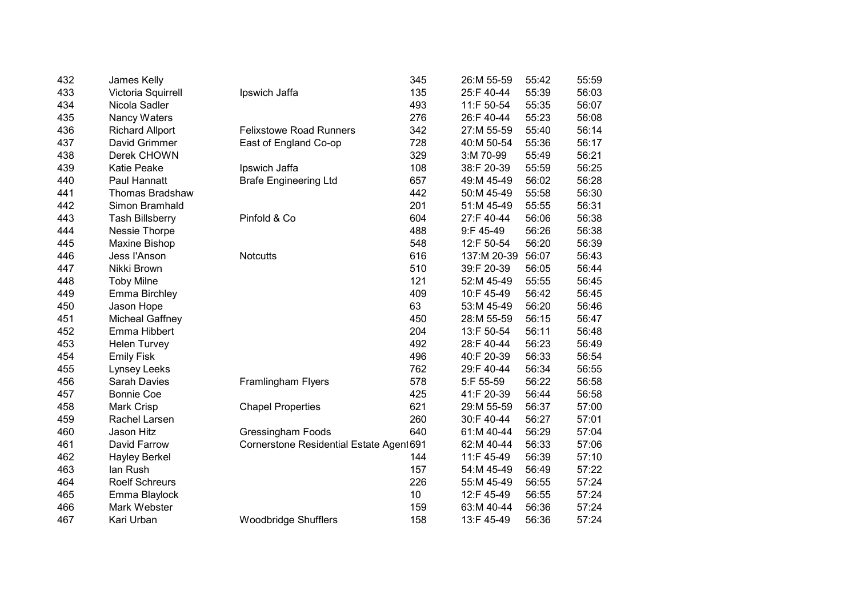| 432 | James Kelly            |                                          | 345             | 26:M 55-59  | 55:42 | 55:59 |
|-----|------------------------|------------------------------------------|-----------------|-------------|-------|-------|
| 433 | Victoria Squirrell     | Ipswich Jaffa                            | 135             | 25:F 40-44  | 55:39 | 56:03 |
| 434 | Nicola Sadler          |                                          | 493             | 11:F 50-54  | 55:35 | 56:07 |
| 435 | Nancy Waters           |                                          | 276             | 26:F 40-44  | 55:23 | 56:08 |
| 436 | <b>Richard Allport</b> | <b>Felixstowe Road Runners</b>           | 342             | 27:M 55-59  | 55:40 | 56:14 |
| 437 | David Grimmer          | East of England Co-op                    | 728             | 40:M 50-54  | 55:36 | 56:17 |
| 438 | Derek CHOWN            |                                          | 329             | 3:M 70-99   | 55:49 | 56:21 |
| 439 | Katie Peake            | Ipswich Jaffa                            | 108             | 38:F 20-39  | 55:59 | 56:25 |
| 440 | Paul Hannatt           | <b>Brafe Engineering Ltd</b>             | 657             | 49:M 45-49  | 56:02 | 56:28 |
| 441 | <b>Thomas Bradshaw</b> |                                          | 442             | 50:M 45-49  | 55:58 | 56:30 |
| 442 | Simon Bramhald         |                                          | 201             | 51:M 45-49  | 55:55 | 56:31 |
| 443 | <b>Tash Billsberry</b> | Pinfold & Co                             | 604             | 27:F 40-44  | 56:06 | 56:38 |
| 444 | Nessie Thorpe          |                                          | 488             | 9:F 45-49   | 56:26 | 56:38 |
| 445 | Maxine Bishop          |                                          | 548             | 12:F 50-54  | 56:20 | 56:39 |
| 446 | Jess l'Anson           | <b>Notcutts</b>                          | 616             | 137:M 20-39 | 56:07 | 56:43 |
| 447 | Nikki Brown            |                                          | 510             | 39:F 20-39  | 56:05 | 56:44 |
| 448 | <b>Toby Milne</b>      |                                          | 121             | 52:M 45-49  | 55:55 | 56:45 |
| 449 | Emma Birchley          |                                          | 409             | 10:F 45-49  | 56:42 | 56:45 |
| 450 | Jason Hope             |                                          | 63              | 53:M 45-49  | 56:20 | 56:46 |
| 451 | <b>Micheal Gaffney</b> |                                          | 450             | 28:M 55-59  | 56:15 | 56:47 |
| 452 | Emma Hibbert           |                                          | 204             | 13:F 50-54  | 56:11 | 56:48 |
| 453 | <b>Helen Turvey</b>    |                                          | 492             | 28:F 40-44  | 56:23 | 56:49 |
| 454 | <b>Emily Fisk</b>      |                                          | 496             | 40:F 20-39  | 56:33 | 56:54 |
| 455 | Lynsey Leeks           |                                          | 762             | 29:F 40-44  | 56:34 | 56:55 |
| 456 | <b>Sarah Davies</b>    | Framlingham Flyers                       | 578             | 5:F 55-59   | 56:22 | 56:58 |
| 457 | <b>Bonnie Coe</b>      |                                          | 425             | 41:F 20-39  | 56:44 | 56:58 |
| 458 | Mark Crisp             | <b>Chapel Properties</b>                 | 621             | 29:M 55-59  | 56:37 | 57:00 |
| 459 | Rachel Larsen          |                                          | 260             | 30:F 40-44  | 56:27 | 57:01 |
| 460 | Jason Hitz             | <b>Gressingham Foods</b>                 | 640             | 61:M 40-44  | 56:29 | 57:04 |
| 461 | David Farrow           | Cornerstone Residential Estate Agent 691 |                 | 62:M 40-44  | 56:33 | 57:06 |
| 462 | <b>Hayley Berkel</b>   |                                          | 144             | 11:F 45-49  | 56:39 | 57:10 |
| 463 | lan Rush               |                                          | 157             | 54:M 45-49  | 56:49 | 57:22 |
| 464 | <b>Roelf Schreurs</b>  |                                          | 226             | 55:M 45-49  | 56:55 | 57:24 |
| 465 | Emma Blaylock          |                                          | 10 <sup>1</sup> | 12:F 45-49  | 56:55 | 57:24 |
| 466 | Mark Webster           |                                          | 159             | 63:M 40-44  | 56:36 | 57:24 |
| 467 | Kari Urban             | <b>Woodbridge Shufflers</b>              | 158             | 13:F 45-49  | 56:36 | 57:24 |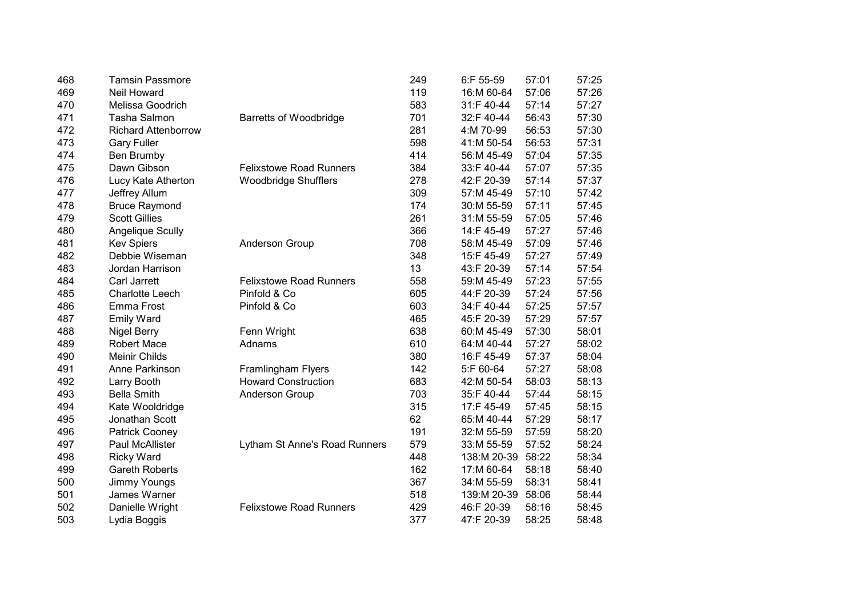| 468 | <b>Tamsin Passmore</b>     |                                | 249 | 6:F 55-59   | 57:01 | 57:25 |
|-----|----------------------------|--------------------------------|-----|-------------|-------|-------|
| 469 | Neil Howard                |                                | 119 | 16:M 60-64  | 57:06 | 57:26 |
| 470 | Melissa Goodrich           |                                | 583 | 31:F 40-44  | 57:14 | 57:27 |
| 471 | Tasha Salmon               | <b>Barretts of Woodbridge</b>  | 701 | 32:F 40-44  | 56:43 | 57:30 |
| 472 | <b>Richard Attenborrow</b> |                                | 281 | 4:M 70-99   | 56:53 | 57:30 |
| 473 | <b>Gary Fuller</b>         |                                | 598 | 41:M 50-54  | 56:53 | 57:31 |
| 474 | Ben Brumby                 |                                | 414 | 56:M 45-49  | 57:04 | 57:35 |
| 475 | Dawn Gibson                | <b>Felixstowe Road Runners</b> | 384 | 33:F 40-44  | 57:07 | 57:35 |
| 476 | Lucy Kate Atherton         | <b>Woodbridge Shufflers</b>    | 278 | 42:F 20-39  | 57:14 | 57:37 |
| 477 | Jeffrey Allum              |                                | 309 | 57:M 45-49  | 57:10 | 57:42 |
| 478 | <b>Bruce Raymond</b>       |                                | 174 | 30:M 55-59  | 57:11 | 57:45 |
| 479 | <b>Scott Gillies</b>       |                                | 261 | 31:M 55-59  | 57:05 | 57:46 |
| 480 | <b>Angelique Scully</b>    |                                | 366 | 14:F 45-49  | 57:27 | 57:46 |
| 481 | <b>Kev Spiers</b>          | <b>Anderson Group</b>          | 708 | 58:M 45-49  | 57:09 | 57:46 |
| 482 | Debbie Wiseman             |                                | 348 | 15:F 45-49  | 57:27 | 57:49 |
| 483 | Jordan Harrison            |                                | 13  | 43:F 20-39  | 57:14 | 57:54 |
| 484 | Carl Jarrett               | <b>Felixstowe Road Runners</b> | 558 | 59:M 45-49  | 57:23 | 57:55 |
| 485 | <b>Charlotte Leech</b>     | Pinfold & Co                   | 605 | 44:F 20-39  | 57:24 | 57:56 |
| 486 | Emma Frost                 | Pinfold & Co                   | 603 | 34:F 40-44  | 57:25 | 57:57 |
| 487 | <b>Emily Ward</b>          |                                | 465 | 45:F 20-39  | 57:29 | 57:57 |
| 488 | <b>Nigel Berry</b>         | Fenn Wright                    | 638 | 60:M 45-49  | 57:30 | 58:01 |
| 489 | <b>Robert Mace</b>         | Adnams                         | 610 | 64:M 40-44  | 57:27 | 58:02 |
| 490 | Meinir Childs              |                                | 380 | 16:F 45-49  | 57:37 | 58:04 |
| 491 | Anne Parkinson             | Framlingham Flyers             | 142 | 5:F 60-64   | 57:27 | 58:08 |
| 492 | Larry Booth                | <b>Howard Construction</b>     | 683 | 42:M 50-54  | 58:03 | 58:13 |
| 493 | <b>Bella Smith</b>         | Anderson Group                 | 703 | 35:F 40-44  | 57:44 | 58:15 |
| 494 | Kate Wooldridge            |                                | 315 | 17:F 45-49  | 57:45 | 58:15 |
| 495 | Jonathan Scott             |                                | 62  | 65:M 40-44  | 57:29 | 58:17 |
| 496 | Patrick Cooney             |                                | 191 | 32:M 55-59  | 57:59 | 58:20 |
| 497 | <b>Paul McAllister</b>     | Lytham St Anne's Road Runners  | 579 | 33:M 55-59  | 57:52 | 58:24 |
| 498 | <b>Ricky Ward</b>          |                                | 448 | 138:M 20-39 | 58:22 | 58:34 |
| 499 | <b>Gareth Roberts</b>      |                                | 162 | 17:M 60-64  | 58:18 | 58:40 |
| 500 | Jimmy Youngs               |                                | 367 | 34:M 55-59  | 58:31 | 58:41 |
| 501 | James Warner               |                                | 518 | 139:M 20-39 | 58:06 | 58:44 |
| 502 | Danielle Wright            | <b>Felixstowe Road Runners</b> | 429 | 46:F 20-39  | 58:16 | 58:45 |
| 503 | Lydia Boggis               |                                | 377 | 47:F 20-39  | 58:25 | 58:48 |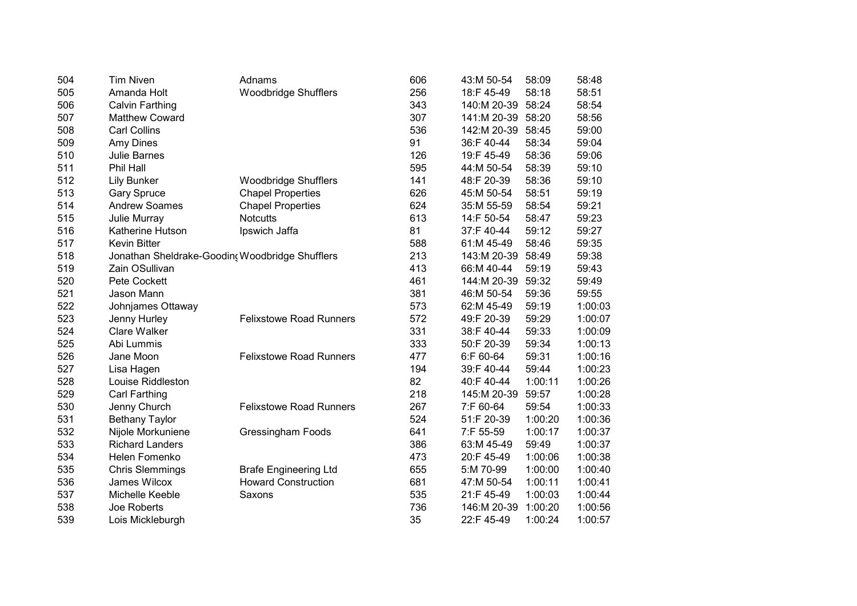| 504 | <b>Tim Niven</b>        | Adnams                                          | 606 | 43:M 50-54        | 58:09   | 58:48   |
|-----|-------------------------|-------------------------------------------------|-----|-------------------|---------|---------|
| 505 | Amanda Holt             | <b>Woodbridge Shufflers</b>                     | 256 | 18:F 45-49        | 58:18   | 58:51   |
| 506 | <b>Calvin Farthing</b>  |                                                 | 343 | 140:M 20-39       | 58:24   | 58:54   |
| 507 | <b>Matthew Coward</b>   |                                                 | 307 | 141:M 20-39 58:20 |         | 58:56   |
| 508 | <b>Carl Collins</b>     |                                                 | 536 | 142:M 20-39       | 58:45   | 59:00   |
| 509 | Amy Dines               |                                                 | 91  | 36:F 40-44        | 58:34   | 59:04   |
| 510 | Julie Barnes            |                                                 | 126 | 19:F 45-49        | 58:36   | 59:06   |
| 511 | Phil Hall               |                                                 | 595 | 44:M 50-54        | 58:39   | 59:10   |
| 512 | <b>Lily Bunker</b>      | <b>Woodbridge Shufflers</b>                     | 141 | 48:F 20-39        | 58:36   | 59:10   |
| 513 | <b>Gary Spruce</b>      | <b>Chapel Properties</b>                        | 626 | 45:M 50-54        | 58:51   | 59:19   |
| 514 | <b>Andrew Soames</b>    | <b>Chapel Properties</b>                        | 624 | 35:M 55-59        | 58:54   | 59:21   |
| 515 | Julie Murray            | <b>Notcutts</b>                                 | 613 | 14:F 50-54        | 58:47   | 59:23   |
| 516 | <b>Katherine Hutson</b> | Ipswich Jaffa                                   | 81  | 37:F 40-44        | 59:12   | 59:27   |
| 517 | <b>Kevin Bitter</b>     |                                                 | 588 | 61:M 45-49        | 58:46   | 59:35   |
| 518 |                         | Jonathan Sheldrake-Goodin( Woodbridge Shufflers | 213 | 143:M 20-39       | 58:49   | 59:38   |
| 519 | Zain OSullivan          |                                                 | 413 | 66:M 40-44        | 59:19   | 59:43   |
| 520 | Pete Cockett            |                                                 | 461 | 144:M 20-39       | 59:32   | 59:49   |
| 521 | Jason Mann              |                                                 | 381 | 46:M 50-54        | 59:36   | 59:55   |
| 522 | Johnjames Ottaway       |                                                 | 573 | 62:M 45-49        | 59:19   | 1:00:03 |
| 523 | Jenny Hurley            | <b>Felixstowe Road Runners</b>                  | 572 | 49:F 20-39        | 59:29   | 1:00:07 |
| 524 | <b>Clare Walker</b>     |                                                 | 331 | 38:F 40-44        | 59:33   | 1:00:09 |
| 525 | Abi Lummis              |                                                 | 333 | 50:F 20-39        | 59:34   | 1:00:13 |
| 526 | Jane Moon               | <b>Felixstowe Road Runners</b>                  | 477 | 6:F 60-64         | 59:31   | 1:00:16 |
| 527 | Lisa Hagen              |                                                 | 194 | 39:F 40-44        | 59:44   | 1:00:23 |
| 528 | Louise Riddleston       |                                                 | 82  | 40:F 40-44        | 1:00:11 | 1:00:26 |
| 529 | <b>Carl Farthing</b>    |                                                 | 218 | 145:M 20-39       | 59:57   | 1:00:28 |
| 530 | Jenny Church            | <b>Felixstowe Road Runners</b>                  | 267 | 7:F 60-64         | 59:54   | 1:00:33 |
| 531 | <b>Bethany Taylor</b>   |                                                 | 524 | 51:F 20-39        | 1:00:20 | 1:00:36 |
| 532 | Nijole Morkuniene       | <b>Gressingham Foods</b>                        | 641 | 7:F 55-59         | 1:00:17 | 1:00:37 |
| 533 | <b>Richard Landers</b>  |                                                 | 386 | 63:M 45-49        | 59:49   | 1:00:37 |
| 534 | Helen Fomenko           |                                                 | 473 | 20:F 45-49        | 1:00:06 | 1:00:38 |
| 535 | <b>Chris Slemmings</b>  | <b>Brafe Engineering Ltd</b>                    | 655 | 5:M 70-99         | 1:00:00 | 1:00:40 |
| 536 | James Wilcox            | <b>Howard Construction</b>                      | 681 | 47:M 50-54        | 1:00:11 | 1:00:41 |
| 537 | Michelle Keeble         | Saxons                                          | 535 | 21:F 45-49        | 1:00:03 | 1:00:44 |
| 538 | Joe Roberts             |                                                 | 736 | 146:M 20-39       | 1:00:20 | 1:00:56 |
| 539 | Lois Mickleburgh        |                                                 | 35  | 22:F 45-49        | 1:00:24 | 1:00:57 |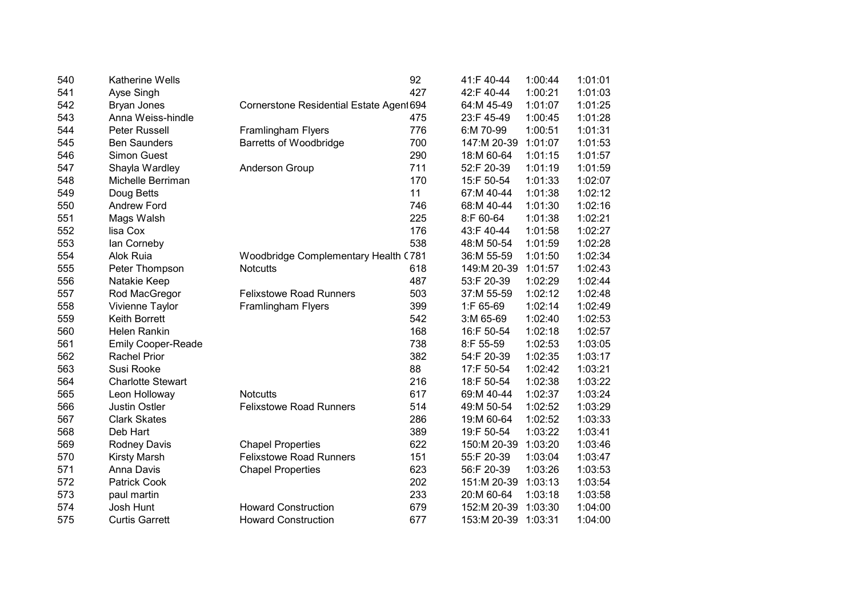| 540 | <b>Katherine Wells</b>    |                                          | 92  | 41:F 40-44  | 1:00:44 | 1:01:01 |
|-----|---------------------------|------------------------------------------|-----|-------------|---------|---------|
| 541 | Ayse Singh                |                                          | 427 | 42:F 40-44  | 1:00:21 | 1:01:03 |
| 542 | Bryan Jones               | Cornerstone Residential Estate Agent 694 |     | 64:M 45-49  | 1:01:07 | 1:01:25 |
| 543 | Anna Weiss-hindle         |                                          | 475 | 23:F 45-49  | 1:00:45 | 1:01:28 |
| 544 | Peter Russell             | Framlingham Flyers                       | 776 | 6:M 70-99   | 1:00:51 | 1:01:31 |
| 545 | <b>Ben Saunders</b>       | <b>Barretts of Woodbridge</b>            | 700 | 147:M 20-39 | 1:01:07 | 1:01:53 |
| 546 | <b>Simon Guest</b>        |                                          | 290 | 18:M 60-64  | 1:01:15 | 1:01:57 |
| 547 | Shayla Wardley            | Anderson Group                           | 711 | 52:F 20-39  | 1:01:19 | 1:01:59 |
| 548 | Michelle Berriman         |                                          | 170 | 15:F 50-54  | 1:01:33 | 1:02:07 |
| 549 | Doug Betts                |                                          | 11  | 67:M 40-44  | 1:01:38 | 1:02:12 |
| 550 | <b>Andrew Ford</b>        |                                          | 746 | 68:M 40-44  | 1:01:30 | 1:02:16 |
| 551 | Mags Walsh                |                                          | 225 | 8:F 60-64   | 1:01:38 | 1:02:21 |
| 552 | lisa Cox                  |                                          | 176 | 43:F 40-44  | 1:01:58 | 1:02:27 |
| 553 | lan Corneby               |                                          | 538 | 48:M 50-54  | 1:01:59 | 1:02:28 |
| 554 | Alok Ruia                 | Woodbridge Complementary Health (781     |     | 36:M 55-59  | 1:01:50 | 1:02:34 |
| 555 | Peter Thompson            | <b>Notcutts</b>                          | 618 | 149:M 20-39 | 1:01:57 | 1:02:43 |
| 556 | Natakie Keep              |                                          | 487 | 53:F 20-39  | 1:02:29 | 1:02:44 |
| 557 | Rod MacGregor             | <b>Felixstowe Road Runners</b>           | 503 | 37:M 55-59  | 1:02:12 | 1:02:48 |
| 558 | Vivienne Taylor           | Framlingham Flyers                       | 399 | 1:F 65-69   | 1:02:14 | 1:02:49 |
| 559 | <b>Keith Borrett</b>      |                                          | 542 | 3:M 65-69   | 1:02:40 | 1:02:53 |
| 560 | <b>Helen Rankin</b>       |                                          | 168 | 16:F 50-54  | 1:02:18 | 1:02:57 |
| 561 | <b>Emily Cooper-Reade</b> |                                          | 738 | 8:F 55-59   | 1:02:53 | 1:03:05 |
| 562 | <b>Rachel Prior</b>       |                                          | 382 | 54:F 20-39  | 1:02:35 | 1:03:17 |
| 563 | Susi Rooke                |                                          | 88  | 17:F 50-54  | 1:02:42 | 1:03:21 |
| 564 | <b>Charlotte Stewart</b>  |                                          | 216 | 18:F 50-54  | 1:02:38 | 1:03:22 |
| 565 | Leon Holloway             | <b>Notcutts</b>                          | 617 | 69:M 40-44  | 1:02:37 | 1:03:24 |
| 566 | <b>Justin Ostler</b>      | <b>Felixstowe Road Runners</b>           | 514 | 49:M 50-54  | 1:02:52 | 1:03:29 |
| 567 | <b>Clark Skates</b>       |                                          | 286 | 19:M 60-64  | 1:02:52 | 1:03:33 |
| 568 | Deb Hart                  |                                          | 389 | 19:F 50-54  | 1:03:22 | 1:03:41 |
| 569 | Rodney Davis              | <b>Chapel Properties</b>                 | 622 | 150:M 20-39 | 1:03:20 | 1:03:46 |
| 570 | <b>Kirsty Marsh</b>       | <b>Felixstowe Road Runners</b>           | 151 | 55:F 20-39  | 1:03:04 | 1:03:47 |
| 571 | Anna Davis                | <b>Chapel Properties</b>                 | 623 | 56:F 20-39  | 1:03:26 | 1:03:53 |
| 572 | <b>Patrick Cook</b>       |                                          | 202 | 151:M 20-39 | 1:03:13 | 1:03:54 |
| 573 | paul martin               |                                          | 233 | 20:M 60-64  | 1:03:18 | 1:03:58 |
| 574 | Josh Hunt                 | <b>Howard Construction</b>               | 679 | 152:M 20-39 | 1:03:30 | 1:04:00 |
| 575 | <b>Curtis Garrett</b>     | <b>Howard Construction</b>               | 677 | 153:M 20-39 | 1:03:31 | 1:04:00 |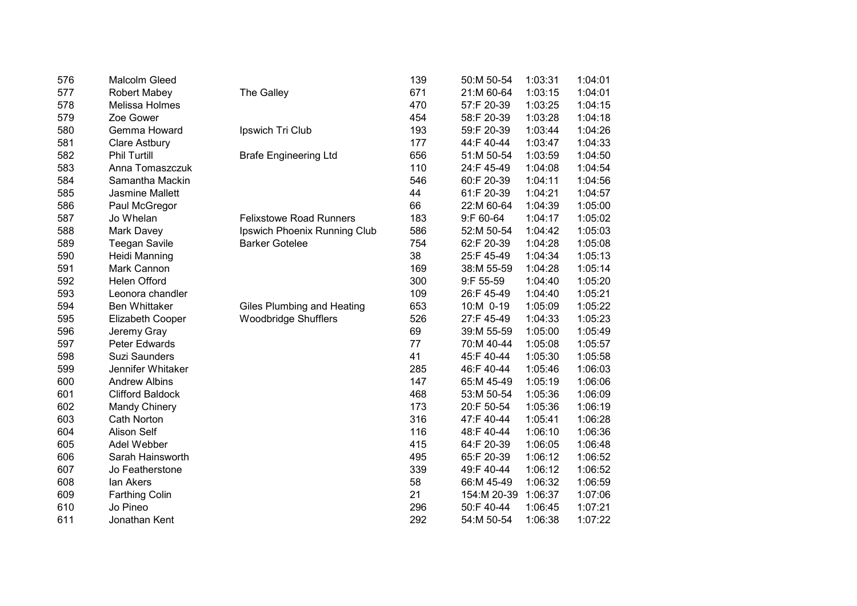| 576 | <b>Malcolm Gleed</b>    |                                | 139 | 50:M 50-54  | 1:03:31 | 1:04:01 |
|-----|-------------------------|--------------------------------|-----|-------------|---------|---------|
| 577 | <b>Robert Mabey</b>     | The Galley                     | 671 | 21:M 60-64  | 1:03:15 | 1:04:01 |
| 578 | Melissa Holmes          |                                | 470 | 57:F 20-39  | 1:03:25 | 1:04:15 |
| 579 | Zoe Gower               |                                | 454 | 58:F 20-39  | 1:03:28 | 1:04:18 |
| 580 | Gemma Howard            | Ipswich Tri Club               | 193 | 59:F 20-39  | 1:03:44 | 1:04:26 |
| 581 | <b>Clare Astbury</b>    |                                | 177 | 44:F 40-44  | 1:03:47 | 1:04:33 |
| 582 | <b>Phil Turtill</b>     | <b>Brafe Engineering Ltd</b>   | 656 | 51:M 50-54  | 1:03:59 | 1:04:50 |
| 583 | Anna Tomaszczuk         |                                | 110 | 24:F 45-49  | 1:04:08 | 1:04:54 |
| 584 | Samantha Mackin         |                                | 546 | 60:F 20-39  | 1:04:11 | 1:04:56 |
| 585 | Jasmine Mallett         |                                | 44  | 61:F 20-39  | 1:04:21 | 1:04:57 |
| 586 | Paul McGregor           |                                | 66  | 22:M 60-64  | 1:04:39 | 1:05:00 |
| 587 | Jo Whelan               | <b>Felixstowe Road Runners</b> | 183 | 9:F 60-64   | 1:04:17 | 1:05:02 |
| 588 | Mark Davey              | Ipswich Phoenix Running Club   | 586 | 52:M 50-54  | 1:04:42 | 1:05:03 |
| 589 | <b>Teegan Savile</b>    | <b>Barker Gotelee</b>          | 754 | 62:F 20-39  | 1:04:28 | 1:05:08 |
| 590 | Heidi Manning           |                                | 38  | 25:F 45-49  | 1:04:34 | 1:05:13 |
| 591 | Mark Cannon             |                                | 169 | 38:M 55-59  | 1:04:28 | 1:05:14 |
| 592 | Helen Offord            |                                | 300 | 9:F 55-59   | 1:04:40 | 1:05:20 |
| 593 | Leonora chandler        |                                | 109 | 26:F 45-49  | 1:04:40 | 1:05:21 |
| 594 | <b>Ben Whittaker</b>    | Giles Plumbing and Heating     | 653 | 10:M 0-19   | 1:05:09 | 1:05:22 |
| 595 | Elizabeth Cooper        | <b>Woodbridge Shufflers</b>    | 526 | 27:F 45-49  | 1:04:33 | 1:05:23 |
| 596 | Jeremy Gray             |                                | 69  | 39:M 55-59  | 1:05:00 | 1:05:49 |
| 597 | Peter Edwards           |                                | 77  | 70:M 40-44  | 1:05:08 | 1:05:57 |
| 598 | <b>Suzi Saunders</b>    |                                | 41  | 45:F 40-44  | 1:05:30 | 1:05:58 |
| 599 | Jennifer Whitaker       |                                | 285 | 46:F 40-44  | 1:05:46 | 1:06:03 |
| 600 | <b>Andrew Albins</b>    |                                | 147 | 65:M 45-49  | 1:05:19 | 1:06:06 |
| 601 | <b>Clifford Baldock</b> |                                | 468 | 53:M 50-54  | 1:05:36 | 1:06:09 |
| 602 | Mandy Chinery           |                                | 173 | 20:F 50-54  | 1:05:36 | 1:06:19 |
| 603 | <b>Cath Norton</b>      |                                | 316 | 47:F 40-44  | 1:05:41 | 1:06:28 |
| 604 | <b>Alison Self</b>      |                                | 116 | 48:F 40-44  | 1:06:10 | 1:06:36 |
| 605 | Adel Webber             |                                | 415 | 64:F 20-39  | 1:06:05 | 1:06:48 |
| 606 | Sarah Hainsworth        |                                | 495 | 65:F 20-39  | 1:06:12 | 1:06:52 |
| 607 | Jo Featherstone         |                                | 339 | 49:F 40-44  | 1:06:12 | 1:06:52 |
| 608 | lan Akers               |                                | 58  | 66:M 45-49  | 1:06:32 | 1:06:59 |
| 609 | <b>Farthing Colin</b>   |                                | 21  | 154:M 20-39 | 1:06:37 | 1:07:06 |
| 610 | Jo Pineo                |                                | 296 | 50:F 40-44  | 1:06:45 | 1:07:21 |
| 611 | Jonathan Kent           |                                | 292 | 54:M 50-54  | 1:06:38 | 1:07:22 |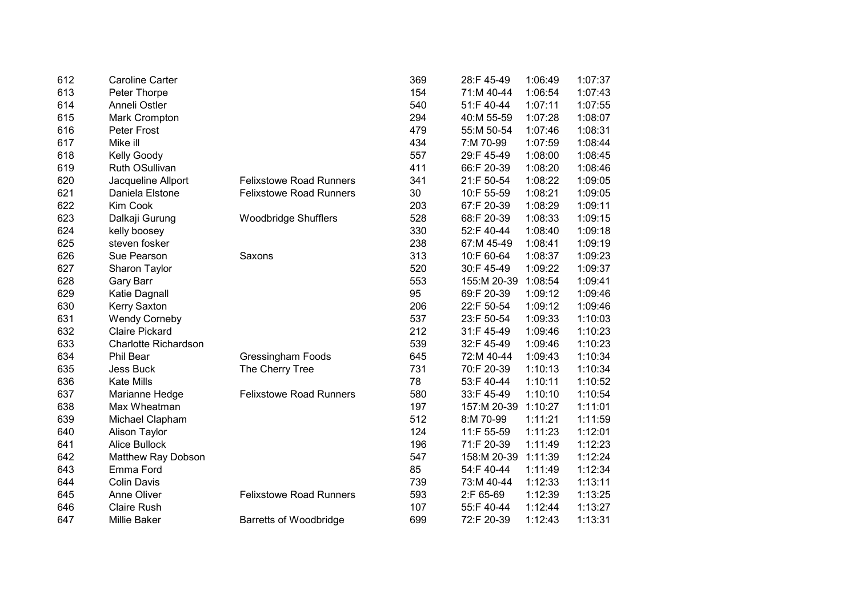| 612 | <b>Caroline Carter</b> |                                | 369 | 28:F 45-49  | 1:06:49 | 1:07:37 |
|-----|------------------------|--------------------------------|-----|-------------|---------|---------|
| 613 | Peter Thorpe           |                                | 154 | 71:M 40-44  | 1:06:54 | 1:07:43 |
| 614 | Anneli Ostler          |                                | 540 | 51:F 40-44  | 1:07:11 | 1:07:55 |
| 615 | Mark Crompton          |                                | 294 | 40:M 55-59  | 1:07:28 | 1:08:07 |
| 616 | Peter Frost            |                                | 479 | 55:M 50-54  | 1:07:46 | 1:08:31 |
| 617 | Mike ill               |                                | 434 | 7:M 70-99   | 1:07:59 | 1:08:44 |
| 618 | <b>Kelly Goody</b>     |                                | 557 | 29:F 45-49  | 1:08:00 | 1:08:45 |
| 619 | Ruth OSullivan         |                                | 411 | 66:F 20-39  | 1:08:20 | 1:08:46 |
| 620 | Jacqueline Allport     | <b>Felixstowe Road Runners</b> | 341 | 21:F 50-54  | 1:08:22 | 1:09:05 |
| 621 | Daniela Elstone        | <b>Felixstowe Road Runners</b> | 30  | 10:F 55-59  | 1:08:21 | 1:09:05 |
| 622 | Kim Cook               |                                | 203 | 67:F 20-39  | 1:08:29 | 1:09:11 |
| 623 | Dalkaji Gurung         | <b>Woodbridge Shufflers</b>    | 528 | 68:F 20-39  | 1:08:33 | 1:09:15 |
| 624 | kelly boosey           |                                | 330 | 52:F 40-44  | 1:08:40 | 1:09:18 |
| 625 | steven fosker          |                                | 238 | 67:M 45-49  | 1:08:41 | 1:09:19 |
| 626 | Sue Pearson            | Saxons                         | 313 | 10:F 60-64  | 1:08:37 | 1:09:23 |
| 627 | Sharon Taylor          |                                | 520 | 30:F 45-49  | 1:09:22 | 1:09:37 |
| 628 | <b>Gary Barr</b>       |                                | 553 | 155:M 20-39 | 1:08:54 | 1:09:41 |
| 629 | Katie Dagnall          |                                | 95  | 69:F 20-39  | 1:09:12 | 1:09:46 |
| 630 | Kerry Saxton           |                                | 206 | 22:F 50-54  | 1:09:12 | 1:09:46 |
| 631 | <b>Wendy Corneby</b>   |                                | 537 | 23:F 50-54  | 1:09:33 | 1:10:03 |
| 632 | <b>Claire Pickard</b>  |                                | 212 | 31:F 45-49  | 1:09:46 | 1:10:23 |
| 633 | Charlotte Richardson   |                                | 539 | 32:F 45-49  | 1:09:46 | 1:10:23 |
| 634 | Phil Bear              | <b>Gressingham Foods</b>       | 645 | 72:M 40-44  | 1:09:43 | 1:10:34 |
| 635 | <b>Jess Buck</b>       | The Cherry Tree                | 731 | 70:F 20-39  | 1:10:13 | 1:10:34 |
| 636 | <b>Kate Mills</b>      |                                | 78  | 53:F 40-44  | 1:10:11 | 1:10:52 |
| 637 | Marianne Hedge         | <b>Felixstowe Road Runners</b> | 580 | 33:F 45-49  | 1:10:10 | 1:10:54 |
| 638 | Max Wheatman           |                                | 197 | 157:M 20-39 | 1:10:27 | 1:11:01 |
| 639 | Michael Clapham        |                                | 512 | 8:M 70-99   | 1:11:21 | 1:11:59 |
| 640 | <b>Alison Taylor</b>   |                                | 124 | 11:F 55-59  | 1:11:23 | 1:12:01 |
| 641 | <b>Alice Bullock</b>   |                                | 196 | 71:F 20-39  | 1:11:49 | 1:12:23 |
| 642 | Matthew Ray Dobson     |                                | 547 | 158:M 20-39 | 1:11:39 | 1:12:24 |
| 643 | Emma Ford              |                                | 85  | 54:F 40-44  | 1:11:49 | 1:12:34 |
| 644 | <b>Colin Davis</b>     |                                | 739 | 73:M 40-44  | 1:12:33 | 1:13:11 |
| 645 | Anne Oliver            | <b>Felixstowe Road Runners</b> | 593 | 2:F 65-69   | 1:12:39 | 1:13:25 |
| 646 | <b>Claire Rush</b>     |                                | 107 | 55:F 40-44  | 1:12:44 | 1:13:27 |
| 647 | Millie Baker           | <b>Barretts of Woodbridge</b>  | 699 | 72:F 20-39  | 1:12:43 | 1:13:31 |